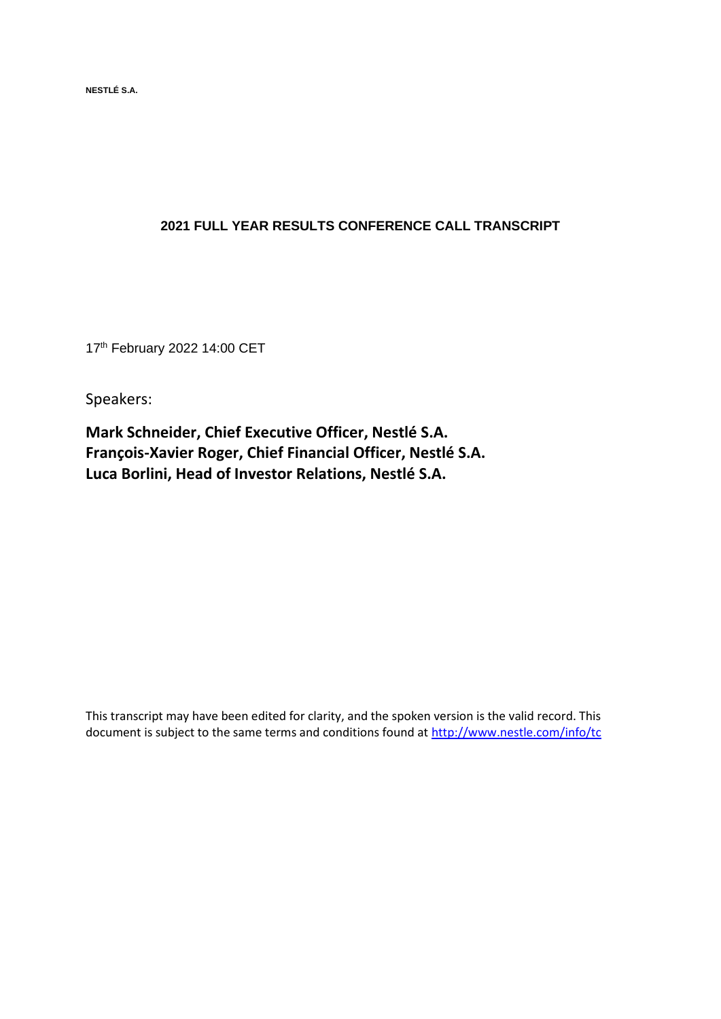**NESTLÉ S.A.** 

## **2021 FULL YEAR RESULTS CONFERENCE CALL TRANSCRIPT**

17 th February 2022 14:00 CET

Speakers:

**Mark Schneider, Chief Executive Officer, Nestlé S.A. François-Xavier Roger, Chief Financial Officer, Nestlé S.A. Luca Borlini, Head of Investor Relations, Nestlé S.A.**

This transcript may have been edited for clarity, and the spoken version is the valid record. This document is subject to the same terms and conditions found at<http://www.nestle.com/info/tc>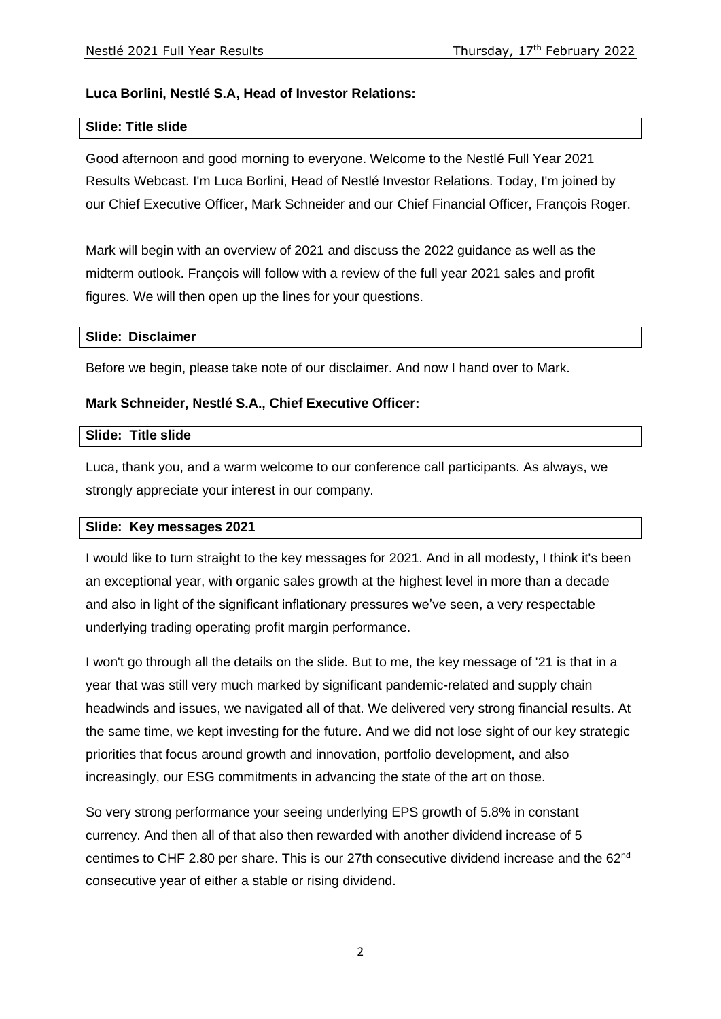## **Luca Borlini, Nestlé S.A, Head of Investor Relations:**

### **Slide: Title slide**

Good afternoon and good morning to everyone. Welcome to the Nestlé Full Year 2021 Results Webcast. I'm Luca Borlini, Head of Nestlé Investor Relations. Today, I'm joined by our Chief Executive Officer, Mark Schneider and our Chief Financial Officer, François Roger.

Mark will begin with an overview of 2021 and discuss the 2022 guidance as well as the midterm outlook. François will follow with a review of the full year 2021 sales and profit figures. We will then open up the lines for your questions.

#### **Slide: Disclaimer**

Before we begin, please take note of our disclaimer. And now I hand over to Mark.

### **Mark Schneider, Nestlé S.A., Chief Executive Officer:**

#### **Slide: Title slide**

Luca, thank you, and a warm welcome to our conference call participants. As always, we strongly appreciate your interest in our company.

### **Slide: Key messages 2021**

I would like to turn straight to the key messages for 2021. And in all modesty, I think it's been an exceptional year, with organic sales growth at the highest level in more than a decade and also in light of the significant inflationary pressures we've seen, a very respectable underlying trading operating profit margin performance.

I won't go through all the details on the slide. But to me, the key message of '21 is that in a year that was still very much marked by significant pandemic-related and supply chain headwinds and issues, we navigated all of that. We delivered very strong financial results. At the same time, we kept investing for the future. And we did not lose sight of our key strategic priorities that focus around growth and innovation, portfolio development, and also increasingly, our ESG commitments in advancing the state of the art on those.

So very strong performance your seeing underlying EPS growth of 5.8% in constant currency. And then all of that also then rewarded with another dividend increase of 5 centimes to CHF 2.80 per share. This is our 27th consecutive dividend increase and the 62nd consecutive year of either a stable or rising dividend.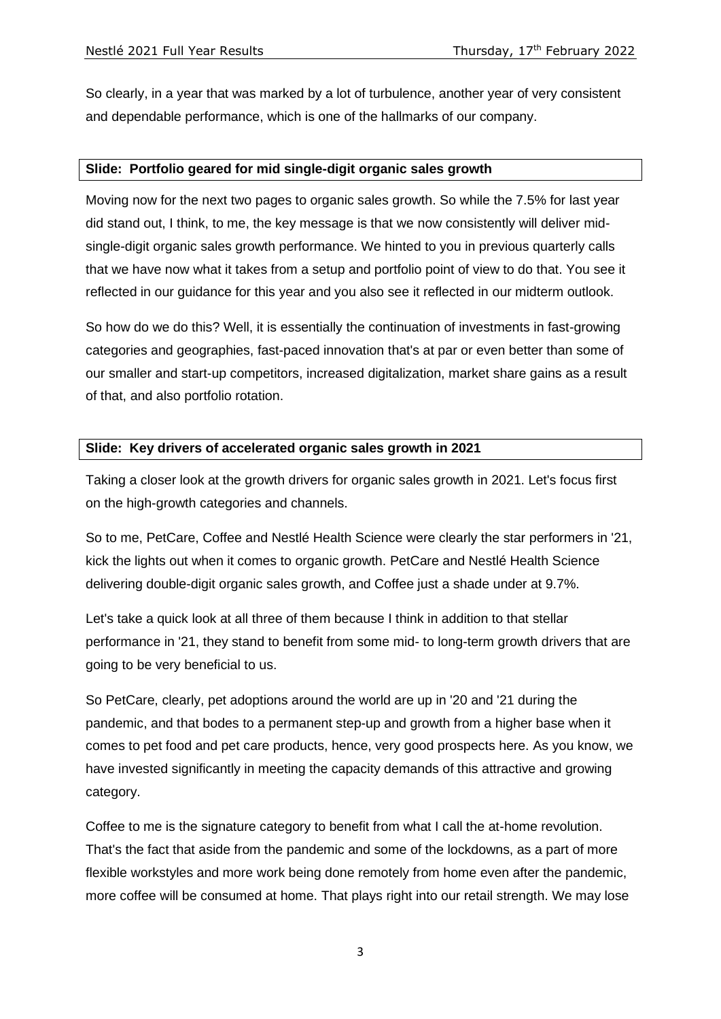So clearly, in a year that was marked by a lot of turbulence, another year of very consistent and dependable performance, which is one of the hallmarks of our company.

## **Slide: Portfolio geared for mid single-digit organic sales growth**

Moving now for the next two pages to organic sales growth. So while the 7.5% for last year did stand out, I think, to me, the key message is that we now consistently will deliver midsingle-digit organic sales growth performance. We hinted to you in previous quarterly calls that we have now what it takes from a setup and portfolio point of view to do that. You see it reflected in our guidance for this year and you also see it reflected in our midterm outlook.

So how do we do this? Well, it is essentially the continuation of investments in fast-growing categories and geographies, fast-paced innovation that's at par or even better than some of our smaller and start-up competitors, increased digitalization, market share gains as a result of that, and also portfolio rotation.

## **Slide: Key drivers of accelerated organic sales growth in 2021**

Taking a closer look at the growth drivers for organic sales growth in 2021. Let's focus first on the high-growth categories and channels.

So to me, PetCare, Coffee and Nestlé Health Science were clearly the star performers in '21, kick the lights out when it comes to organic growth. PetCare and Nestlé Health Science delivering double-digit organic sales growth, and Coffee just a shade under at 9.7%.

Let's take a quick look at all three of them because I think in addition to that stellar performance in '21, they stand to benefit from some mid- to long-term growth drivers that are going to be very beneficial to us.

So PetCare, clearly, pet adoptions around the world are up in '20 and '21 during the pandemic, and that bodes to a permanent step-up and growth from a higher base when it comes to pet food and pet care products, hence, very good prospects here. As you know, we have invested significantly in meeting the capacity demands of this attractive and growing category.

Coffee to me is the signature category to benefit from what I call the at-home revolution. That's the fact that aside from the pandemic and some of the lockdowns, as a part of more flexible workstyles and more work being done remotely from home even after the pandemic, more coffee will be consumed at home. That plays right into our retail strength. We may lose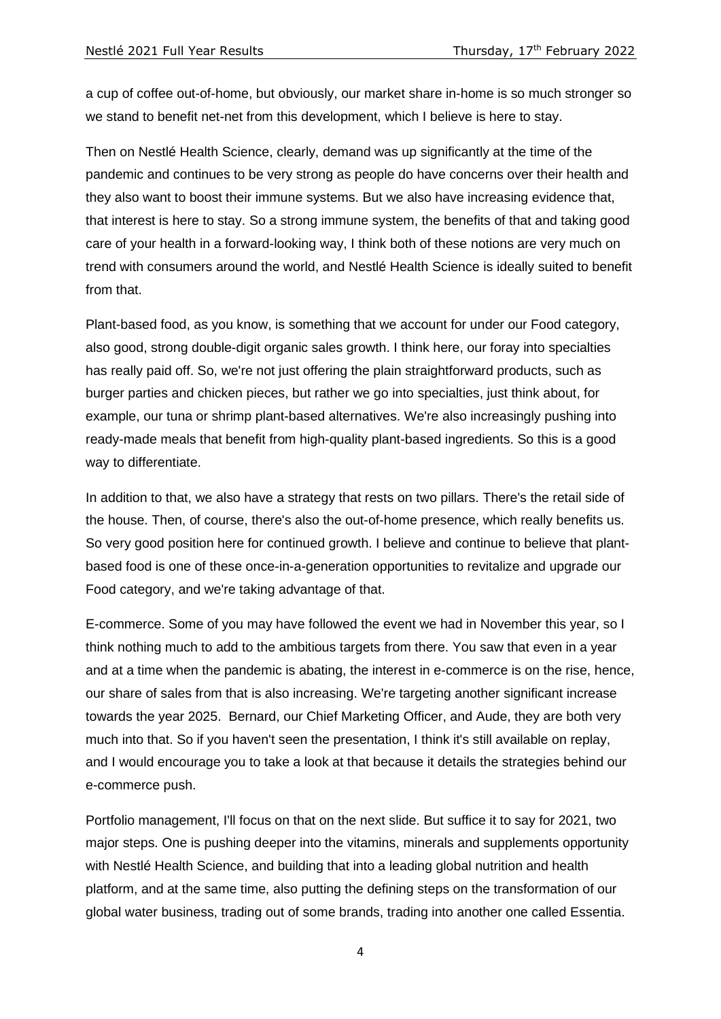a cup of coffee out-of-home, but obviously, our market share in-home is so much stronger so we stand to benefit net-net from this development, which I believe is here to stay.

Then on Nestlé Health Science, clearly, demand was up significantly at the time of the pandemic and continues to be very strong as people do have concerns over their health and they also want to boost their immune systems. But we also have increasing evidence that, that interest is here to stay. So a strong immune system, the benefits of that and taking good care of your health in a forward-looking way, I think both of these notions are very much on trend with consumers around the world, and Nestlé Health Science is ideally suited to benefit from that.

Plant-based food, as you know, is something that we account for under our Food category, also good, strong double-digit organic sales growth. I think here, our foray into specialties has really paid off. So, we're not just offering the plain straightforward products, such as burger parties and chicken pieces, but rather we go into specialties, just think about, for example, our tuna or shrimp plant-based alternatives. We're also increasingly pushing into ready-made meals that benefit from high-quality plant-based ingredients. So this is a good way to differentiate.

In addition to that, we also have a strategy that rests on two pillars. There's the retail side of the house. Then, of course, there's also the out-of-home presence, which really benefits us. So very good position here for continued growth. I believe and continue to believe that plantbased food is one of these once-in-a-generation opportunities to revitalize and upgrade our Food category, and we're taking advantage of that.

E-commerce. Some of you may have followed the event we had in November this year, so I think nothing much to add to the ambitious targets from there. You saw that even in a year and at a time when the pandemic is abating, the interest in e-commerce is on the rise, hence, our share of sales from that is also increasing. We're targeting another significant increase towards the year 2025. Bernard, our Chief Marketing Officer, and Aude, they are both very much into that. So if you haven't seen the presentation, I think it's still available on replay, and I would encourage you to take a look at that because it details the strategies behind our e-commerce push.

Portfolio management, I'll focus on that on the next slide. But suffice it to say for 2021, two major steps. One is pushing deeper into the vitamins, minerals and supplements opportunity with Nestlé Health Science, and building that into a leading global nutrition and health platform, and at the same time, also putting the defining steps on the transformation of our global water business, trading out of some brands, trading into another one called Essentia.

4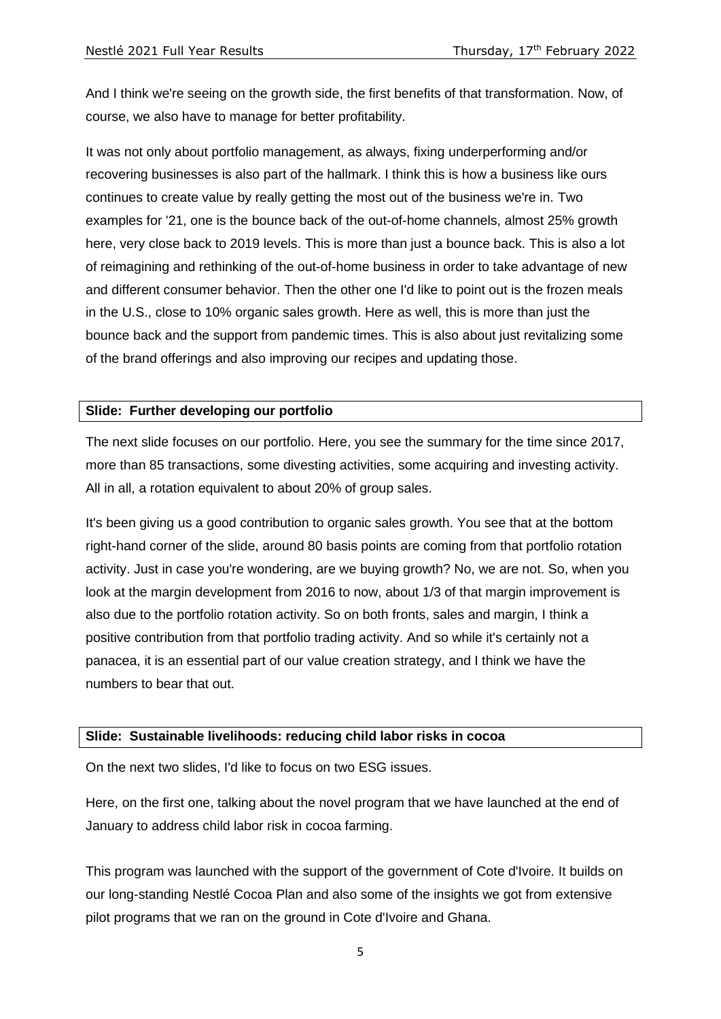And I think we're seeing on the growth side, the first benefits of that transformation. Now, of course, we also have to manage for better profitability.

It was not only about portfolio management, as always, fixing underperforming and/or recovering businesses is also part of the hallmark. I think this is how a business like ours continues to create value by really getting the most out of the business we're in. Two examples for '21, one is the bounce back of the out-of-home channels, almost 25% growth here, very close back to 2019 levels. This is more than just a bounce back. This is also a lot of reimagining and rethinking of the out-of-home business in order to take advantage of new and different consumer behavior. Then the other one I'd like to point out is the frozen meals in the U.S., close to 10% organic sales growth. Here as well, this is more than just the bounce back and the support from pandemic times. This is also about just revitalizing some of the brand offerings and also improving our recipes and updating those.

### **Slide: Further developing our portfolio**

The next slide focuses on our portfolio. Here, you see the summary for the time since 2017, more than 85 transactions, some divesting activities, some acquiring and investing activity. All in all, a rotation equivalent to about 20% of group sales.

It's been giving us a good contribution to organic sales growth. You see that at the bottom right-hand corner of the slide, around 80 basis points are coming from that portfolio rotation activity. Just in case you're wondering, are we buying growth? No, we are not. So, when you look at the margin development from 2016 to now, about 1/3 of that margin improvement is also due to the portfolio rotation activity. So on both fronts, sales and margin, I think a positive contribution from that portfolio trading activity. And so while it's certainly not a panacea, it is an essential part of our value creation strategy, and I think we have the numbers to bear that out.

#### **Slide: Sustainable livelihoods: reducing child labor risks in cocoa**

On the next two slides, I'd like to focus on two ESG issues.

Here, on the first one, talking about the novel program that we have launched at the end of January to address child labor risk in cocoa farming.

This program was launched with the support of the government of Cote d'Ivoire. It builds on our long-standing Nestlé Cocoa Plan and also some of the insights we got from extensive pilot programs that we ran on the ground in Cote d'Ivoire and Ghana.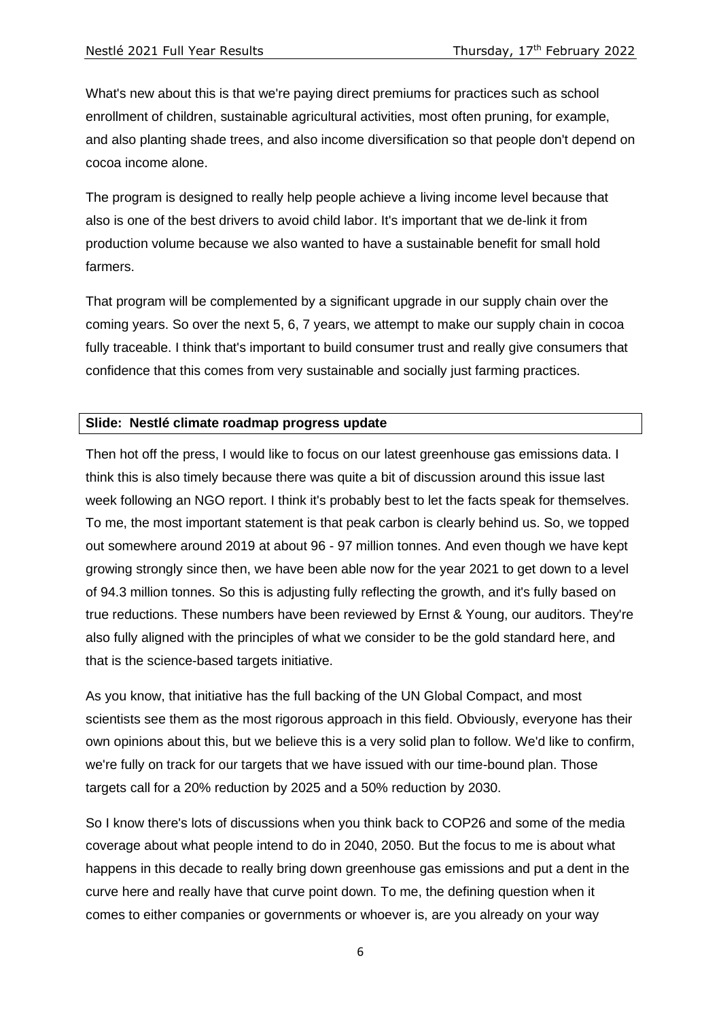What's new about this is that we're paying direct premiums for practices such as school enrollment of children, sustainable agricultural activities, most often pruning, for example, and also planting shade trees, and also income diversification so that people don't depend on cocoa income alone.

The program is designed to really help people achieve a living income level because that also is one of the best drivers to avoid child labor. It's important that we de-link it from production volume because we also wanted to have a sustainable benefit for small hold farmers.

That program will be complemented by a significant upgrade in our supply chain over the coming years. So over the next 5, 6, 7 years, we attempt to make our supply chain in cocoa fully traceable. I think that's important to build consumer trust and really give consumers that confidence that this comes from very sustainable and socially just farming practices.

### **Slide: Nestlé climate roadmap progress update**

Then hot off the press, I would like to focus on our latest greenhouse gas emissions data. I think this is also timely because there was quite a bit of discussion around this issue last week following an NGO report. I think it's probably best to let the facts speak for themselves. To me, the most important statement is that peak carbon is clearly behind us. So, we topped out somewhere around 2019 at about 96 - 97 million tonnes. And even though we have kept growing strongly since then, we have been able now for the year 2021 to get down to a level of 94.3 million tonnes. So this is adjusting fully reflecting the growth, and it's fully based on true reductions. These numbers have been reviewed by Ernst & Young, our auditors. They're also fully aligned with the principles of what we consider to be the gold standard here, and that is the science-based targets initiative.

As you know, that initiative has the full backing of the UN Global Compact, and most scientists see them as the most rigorous approach in this field. Obviously, everyone has their own opinions about this, but we believe this is a very solid plan to follow. We'd like to confirm, we're fully on track for our targets that we have issued with our time-bound plan. Those targets call for a 20% reduction by 2025 and a 50% reduction by 2030.

So I know there's lots of discussions when you think back to COP26 and some of the media coverage about what people intend to do in 2040, 2050. But the focus to me is about what happens in this decade to really bring down greenhouse gas emissions and put a dent in the curve here and really have that curve point down. To me, the defining question when it comes to either companies or governments or whoever is, are you already on your way

6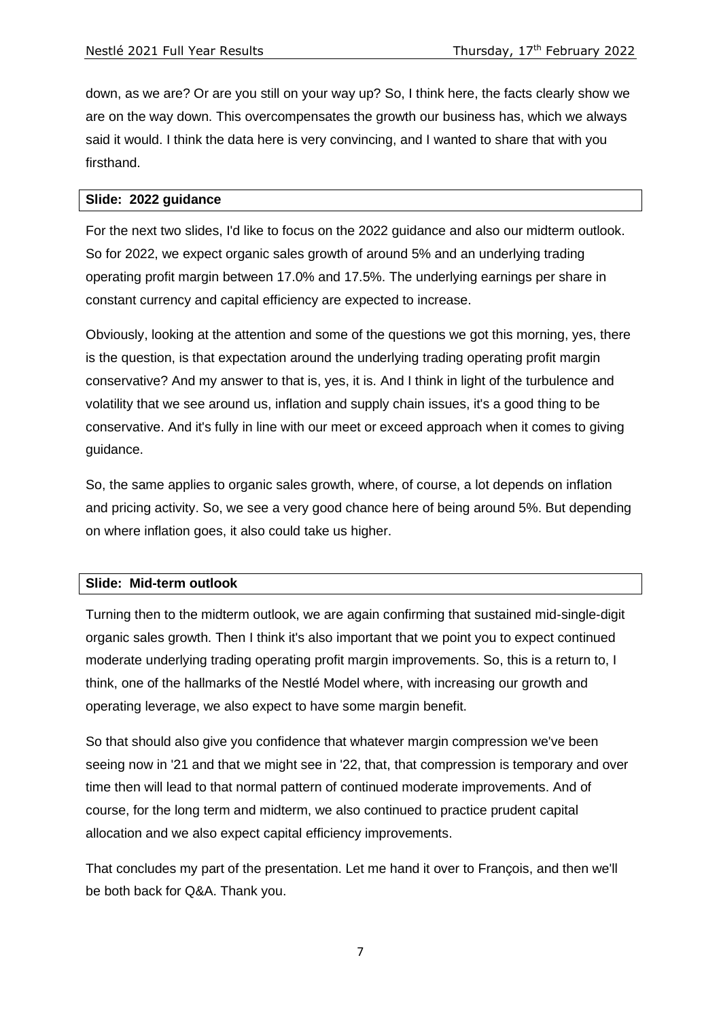down, as we are? Or are you still on your way up? So, I think here, the facts clearly show we are on the way down. This overcompensates the growth our business has, which we always said it would. I think the data here is very convincing, and I wanted to share that with you firsthand.

### **Slide: 2022 guidance**

For the next two slides, I'd like to focus on the 2022 guidance and also our midterm outlook. So for 2022, we expect organic sales growth of around 5% and an underlying trading operating profit margin between 17.0% and 17.5%. The underlying earnings per share in constant currency and capital efficiency are expected to increase.

Obviously, looking at the attention and some of the questions we got this morning, yes, there is the question, is that expectation around the underlying trading operating profit margin conservative? And my answer to that is, yes, it is. And I think in light of the turbulence and volatility that we see around us, inflation and supply chain issues, it's a good thing to be conservative. And it's fully in line with our meet or exceed approach when it comes to giving guidance.

So, the same applies to organic sales growth, where, of course, a lot depends on inflation and pricing activity. So, we see a very good chance here of being around 5%. But depending on where inflation goes, it also could take us higher.

#### **Slide: Mid-term outlook**

Turning then to the midterm outlook, we are again confirming that sustained mid-single-digit organic sales growth. Then I think it's also important that we point you to expect continued moderate underlying trading operating profit margin improvements. So, this is a return to, I think, one of the hallmarks of the Nestlé Model where, with increasing our growth and operating leverage, we also expect to have some margin benefit.

So that should also give you confidence that whatever margin compression we've been seeing now in '21 and that we might see in '22, that, that compression is temporary and over time then will lead to that normal pattern of continued moderate improvements. And of course, for the long term and midterm, we also continued to practice prudent capital allocation and we also expect capital efficiency improvements.

That concludes my part of the presentation. Let me hand it over to François, and then we'll be both back for Q&A. Thank you.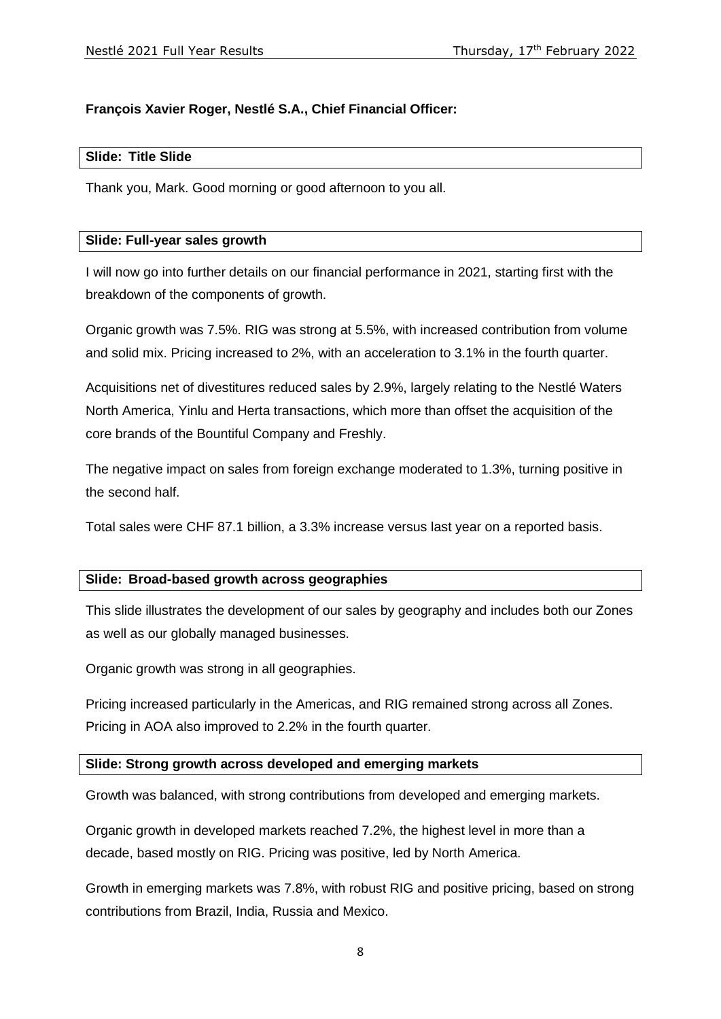# **François Xavier Roger, Nestlé S.A., Chief Financial Officer:**

### **Slide: Title Slide**

Thank you, Mark. Good morning or good afternoon to you all.

### **Slide: Full-year sales growth**

I will now go into further details on our financial performance in 2021, starting first with the breakdown of the components of growth.

Organic growth was 7.5%. RIG was strong at 5.5%, with increased contribution from volume and solid mix. Pricing increased to 2%, with an acceleration to 3.1% in the fourth quarter.

Acquisitions net of divestitures reduced sales by 2.9%, largely relating to the Nestlé Waters North America, Yinlu and Herta transactions, which more than offset the acquisition of the core brands of the Bountiful Company and Freshly.

The negative impact on sales from foreign exchange moderated to 1.3%, turning positive in the second half.

Total sales were CHF 87.1 billion, a 3.3% increase versus last year on a reported basis.

### **Slide: Broad-based growth across geographies**

This slide illustrates the development of our sales by geography and includes both our Zones as well as our globally managed businesses.

Organic growth was strong in all geographies.

Pricing increased particularly in the Americas, and RIG remained strong across all Zones. Pricing in AOA also improved to 2.2% in the fourth quarter.

#### **Slide: Strong growth across developed and emerging markets**

Growth was balanced, with strong contributions from developed and emerging markets.

Organic growth in developed markets reached 7.2%, the highest level in more than a decade, based mostly on RIG. Pricing was positive, led by North America.

Growth in emerging markets was 7.8%, with robust RIG and positive pricing, based on strong contributions from Brazil, India, Russia and Mexico.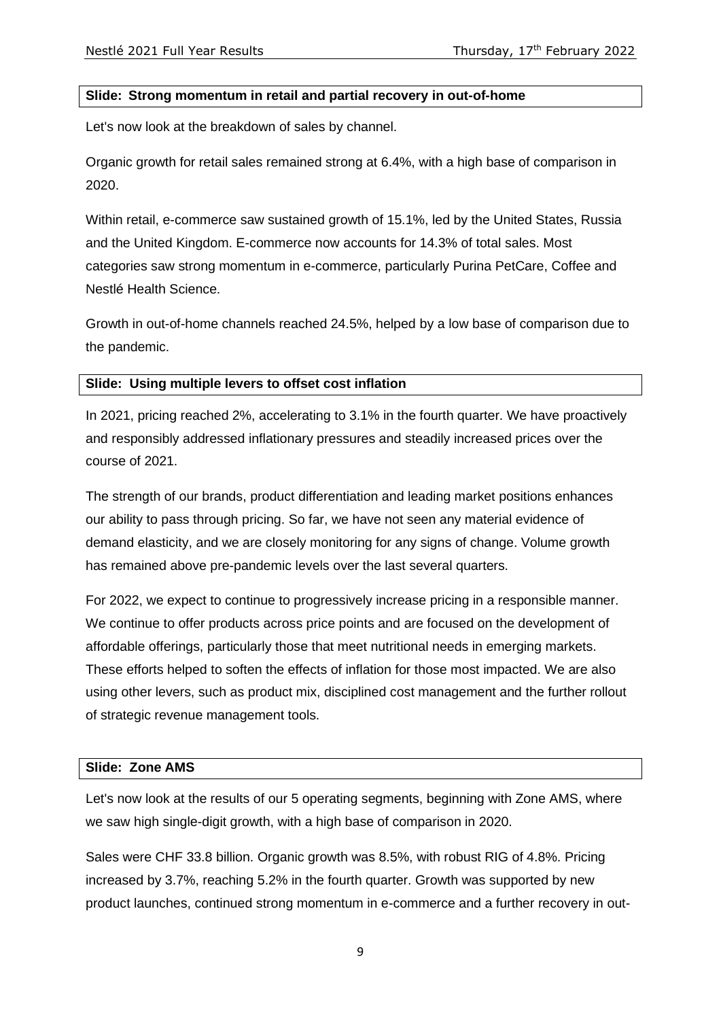### **Slide: Strong momentum in retail and partial recovery in out-of-home**

Let's now look at the breakdown of sales by channel.

Organic growth for retail sales remained strong at 6.4%, with a high base of comparison in 2020.

Within retail, e-commerce saw sustained growth of 15.1%, led by the United States, Russia and the United Kingdom. E-commerce now accounts for 14.3% of total sales. Most categories saw strong momentum in e-commerce, particularly Purina PetCare, Coffee and Nestlé Health Science.

Growth in out-of-home channels reached 24.5%, helped by a low base of comparison due to the pandemic.

#### **Slide: Using multiple levers to offset cost inflation**

In 2021, pricing reached 2%, accelerating to 3.1% in the fourth quarter. We have proactively and responsibly addressed inflationary pressures and steadily increased prices over the course of 2021.

The strength of our brands, product differentiation and leading market positions enhances our ability to pass through pricing. So far, we have not seen any material evidence of demand elasticity, and we are closely monitoring for any signs of change. Volume growth has remained above pre-pandemic levels over the last several quarters.

For 2022, we expect to continue to progressively increase pricing in a responsible manner. We continue to offer products across price points and are focused on the development of affordable offerings, particularly those that meet nutritional needs in emerging markets. These efforts helped to soften the effects of inflation for those most impacted. We are also using other levers, such as product mix, disciplined cost management and the further rollout of strategic revenue management tools.

#### **Slide: Zone AMS**

Let's now look at the results of our 5 operating segments, beginning with Zone AMS, where we saw high single-digit growth, with a high base of comparison in 2020.

Sales were CHF 33.8 billion. Organic growth was 8.5%, with robust RIG of 4.8%. Pricing increased by 3.7%, reaching 5.2% in the fourth quarter. Growth was supported by new product launches, continued strong momentum in e-commerce and a further recovery in out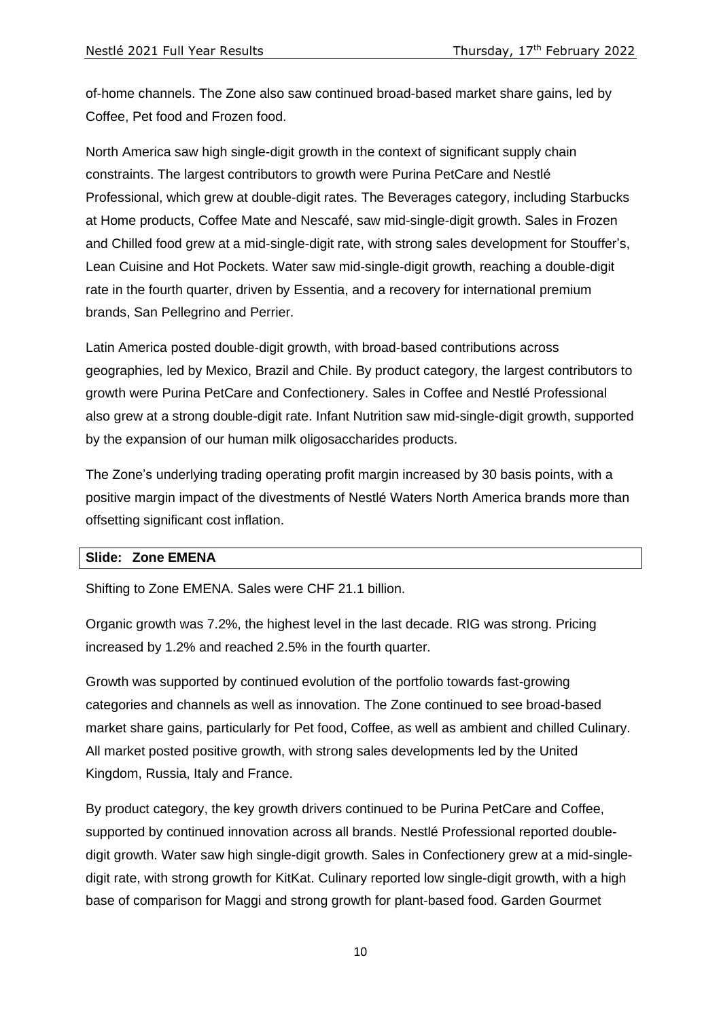of-home channels. The Zone also saw continued broad-based market share gains, led by Coffee, Pet food and Frozen food.

North America saw high single-digit growth in the context of significant supply chain constraints. The largest contributors to growth were Purina PetCare and Nestlé Professional, which grew at double-digit rates. The Beverages category, including Starbucks at Home products, Coffee Mate and Nescafé, saw mid-single-digit growth. Sales in Frozen and Chilled food grew at a mid-single-digit rate, with strong sales development for Stouffer's, Lean Cuisine and Hot Pockets. Water saw mid-single-digit growth, reaching a double-digit rate in the fourth quarter, driven by Essentia, and a recovery for international premium brands, San Pellegrino and Perrier.

Latin America posted double-digit growth, with broad-based contributions across geographies, led by Mexico, Brazil and Chile. By product category, the largest contributors to growth were Purina PetCare and Confectionery. Sales in Coffee and Nestlé Professional also grew at a strong double-digit rate. Infant Nutrition saw mid-single-digit growth, supported by the expansion of our human milk oligosaccharides products.

The Zone's underlying trading operating profit margin increased by 30 basis points, with a positive margin impact of the divestments of Nestlé Waters North America brands more than offsetting significant cost inflation.

#### **Slide: Zone EMENA**

Shifting to Zone EMENA. Sales were CHF 21.1 billion.

Organic growth was 7.2%, the highest level in the last decade. RIG was strong. Pricing increased by 1.2% and reached 2.5% in the fourth quarter.

Growth was supported by continued evolution of the portfolio towards fast-growing categories and channels as well as innovation. The Zone continued to see broad-based market share gains, particularly for Pet food, Coffee, as well as ambient and chilled Culinary. All market posted positive growth, with strong sales developments led by the United Kingdom, Russia, Italy and France.

By product category, the key growth drivers continued to be Purina PetCare and Coffee, supported by continued innovation across all brands. Nestlé Professional reported doubledigit growth. Water saw high single-digit growth. Sales in Confectionery grew at a mid-singledigit rate, with strong growth for KitKat. Culinary reported low single-digit growth, with a high base of comparison for Maggi and strong growth for plant-based food. Garden Gourmet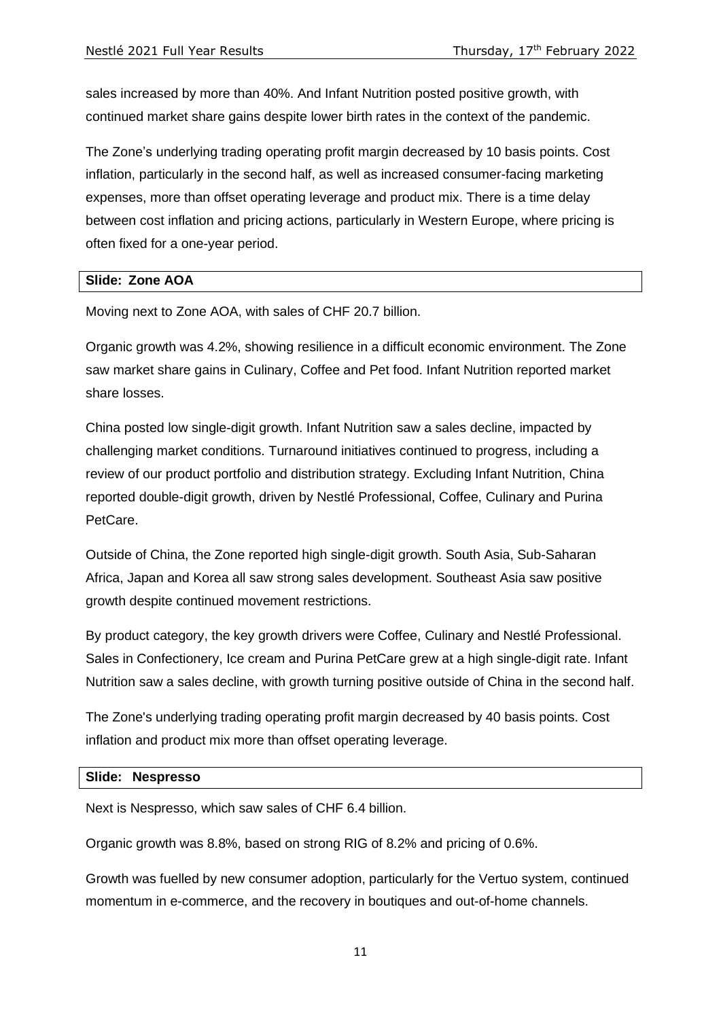sales increased by more than 40%. And Infant Nutrition posted positive growth, with continued market share gains despite lower birth rates in the context of the pandemic.

The Zone's underlying trading operating profit margin decreased by 10 basis points. Cost inflation, particularly in the second half, as well as increased consumer-facing marketing expenses, more than offset operating leverage and product mix. There is a time delay between cost inflation and pricing actions, particularly in Western Europe, where pricing is often fixed for a one-year period.

### **Slide: Zone AOA**

Moving next to Zone AOA, with sales of CHF 20.7 billion.

Organic growth was 4.2%, showing resilience in a difficult economic environment. The Zone saw market share gains in Culinary, Coffee and Pet food. Infant Nutrition reported market share losses.

China posted low single-digit growth. Infant Nutrition saw a sales decline, impacted by challenging market conditions. Turnaround initiatives continued to progress, including a review of our product portfolio and distribution strategy. Excluding Infant Nutrition, China reported double-digit growth, driven by Nestlé Professional, Coffee, Culinary and Purina PetCare.

Outside of China, the Zone reported high single-digit growth. South Asia, Sub-Saharan Africa, Japan and Korea all saw strong sales development. Southeast Asia saw positive growth despite continued movement restrictions.

By product category, the key growth drivers were Coffee, Culinary and Nestlé Professional. Sales in Confectionery, Ice cream and Purina PetCare grew at a high single-digit rate. Infant Nutrition saw a sales decline, with growth turning positive outside of China in the second half.

The Zone's underlying trading operating profit margin decreased by 40 basis points. Cost inflation and product mix more than offset operating leverage.

#### **Slide: Nespresso**

Next is Nespresso, which saw sales of CHF 6.4 billion.

Organic growth was 8.8%, based on strong RIG of 8.2% and pricing of 0.6%.

Growth was fuelled by new consumer adoption, particularly for the Vertuo system, continued momentum in e-commerce, and the recovery in boutiques and out-of-home channels.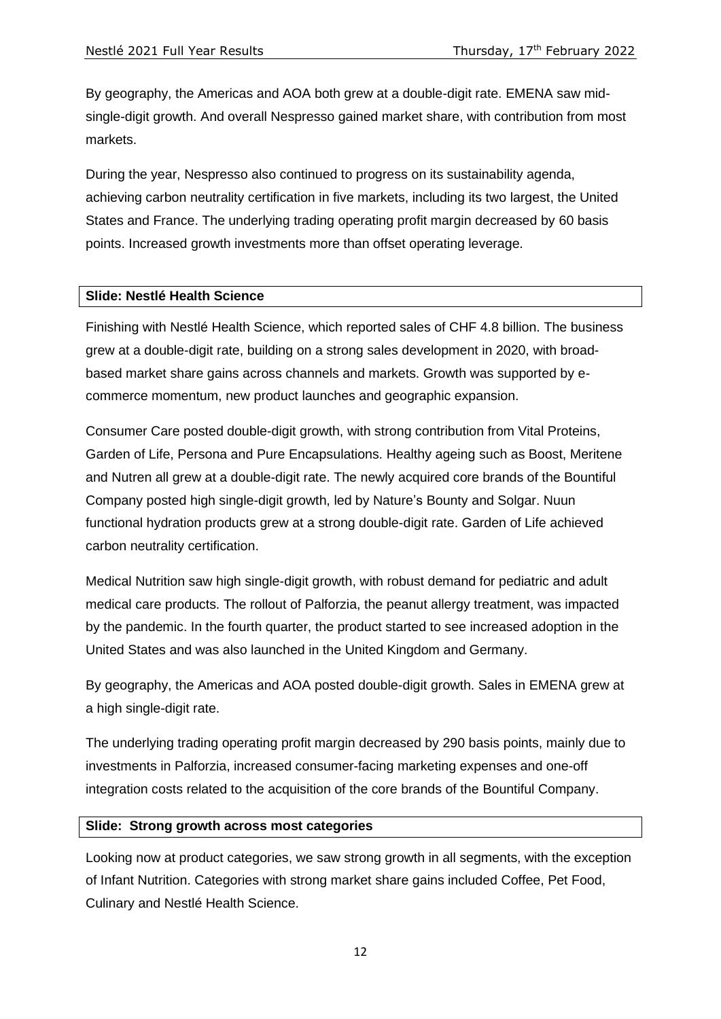By geography, the Americas and AOA both grew at a double-digit rate. EMENA saw midsingle-digit growth. And overall Nespresso gained market share, with contribution from most markets.

During the year, Nespresso also continued to progress on its sustainability agenda, achieving carbon neutrality certification in five markets, including its two largest, the United States and France. The underlying trading operating profit margin decreased by 60 basis points. Increased growth investments more than offset operating leverage.

### **Slide: Nestlé Health Science**

Finishing with Nestlé Health Science, which reported sales of CHF 4.8 billion. The business grew at a double-digit rate, building on a strong sales development in 2020, with broadbased market share gains across channels and markets. Growth was supported by ecommerce momentum, new product launches and geographic expansion.

Consumer Care posted double-digit growth, with strong contribution from Vital Proteins, Garden of Life, Persona and Pure Encapsulations. Healthy ageing such as Boost, Meritene and Nutren all grew at a double-digit rate. The newly acquired core brands of the Bountiful Company posted high single-digit growth, led by Nature's Bounty and Solgar. Nuun functional hydration products grew at a strong double-digit rate. Garden of Life achieved carbon neutrality certification.

Medical Nutrition saw high single-digit growth, with robust demand for pediatric and adult medical care products. The rollout of Palforzia, the peanut allergy treatment, was impacted by the pandemic. In the fourth quarter, the product started to see increased adoption in the United States and was also launched in the United Kingdom and Germany.

By geography, the Americas and AOA posted double-digit growth. Sales in EMENA grew at a high single-digit rate.

The underlying trading operating profit margin decreased by 290 basis points, mainly due to investments in Palforzia, increased consumer-facing marketing expenses and one-off integration costs related to the acquisition of the core brands of the Bountiful Company.

### **Slide: Strong growth across most categories**

Looking now at product categories, we saw strong growth in all segments, with the exception of Infant Nutrition. Categories with strong market share gains included Coffee, Pet Food, Culinary and Nestlé Health Science.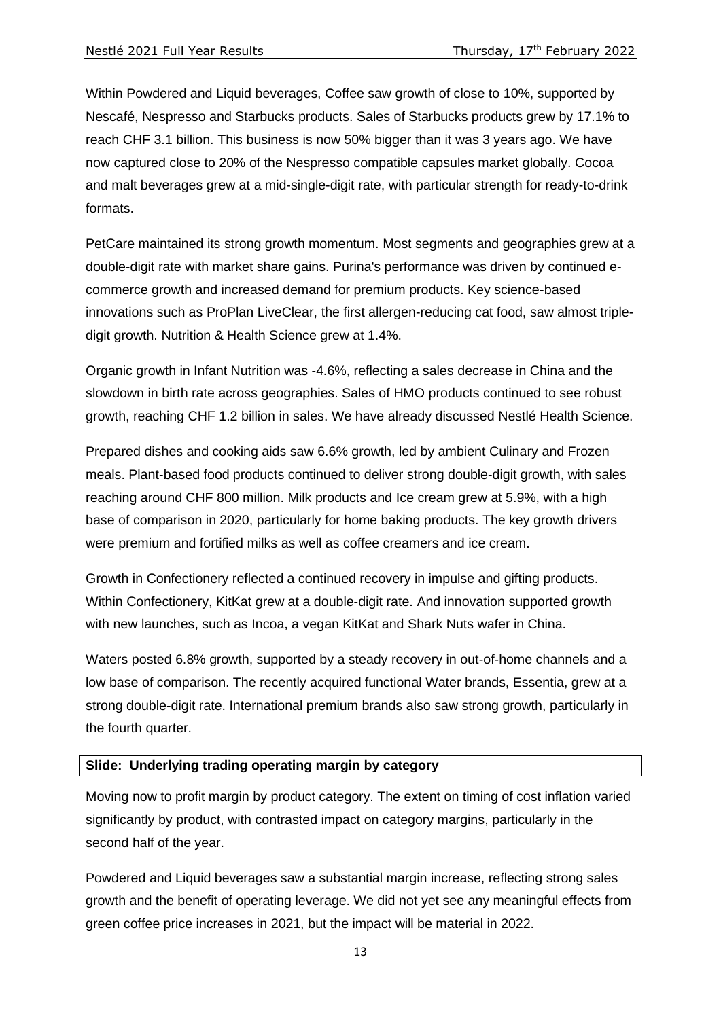Within Powdered and Liquid beverages, Coffee saw growth of close to 10%, supported by Nescafé, Nespresso and Starbucks products. Sales of Starbucks products grew by 17.1% to reach CHF 3.1 billion. This business is now 50% bigger than it was 3 years ago. We have now captured close to 20% of the Nespresso compatible capsules market globally. Cocoa and malt beverages grew at a mid-single-digit rate, with particular strength for ready-to-drink formats.

PetCare maintained its strong growth momentum. Most segments and geographies grew at a double-digit rate with market share gains. Purina's performance was driven by continued ecommerce growth and increased demand for premium products. Key science-based innovations such as ProPlan LiveClear, the first allergen-reducing cat food, saw almost tripledigit growth. Nutrition & Health Science grew at 1.4%.

Organic growth in Infant Nutrition was -4.6%, reflecting a sales decrease in China and the slowdown in birth rate across geographies. Sales of HMO products continued to see robust growth, reaching CHF 1.2 billion in sales. We have already discussed Nestlé Health Science.

Prepared dishes and cooking aids saw 6.6% growth, led by ambient Culinary and Frozen meals. Plant-based food products continued to deliver strong double-digit growth, with sales reaching around CHF 800 million. Milk products and Ice cream grew at 5.9%, with a high base of comparison in 2020, particularly for home baking products. The key growth drivers were premium and fortified milks as well as coffee creamers and ice cream.

Growth in Confectionery reflected a continued recovery in impulse and gifting products. Within Confectionery, KitKat grew at a double-digit rate. And innovation supported growth with new launches, such as Incoa, a vegan KitKat and Shark Nuts wafer in China.

Waters posted 6.8% growth, supported by a steady recovery in out-of-home channels and a low base of comparison. The recently acquired functional Water brands, Essentia, grew at a strong double-digit rate. International premium brands also saw strong growth, particularly in the fourth quarter.

### **Slide: Underlying trading operating margin by category**

Moving now to profit margin by product category. The extent on timing of cost inflation varied significantly by product, with contrasted impact on category margins, particularly in the second half of the year.

Powdered and Liquid beverages saw a substantial margin increase, reflecting strong sales growth and the benefit of operating leverage. We did not yet see any meaningful effects from green coffee price increases in 2021, but the impact will be material in 2022.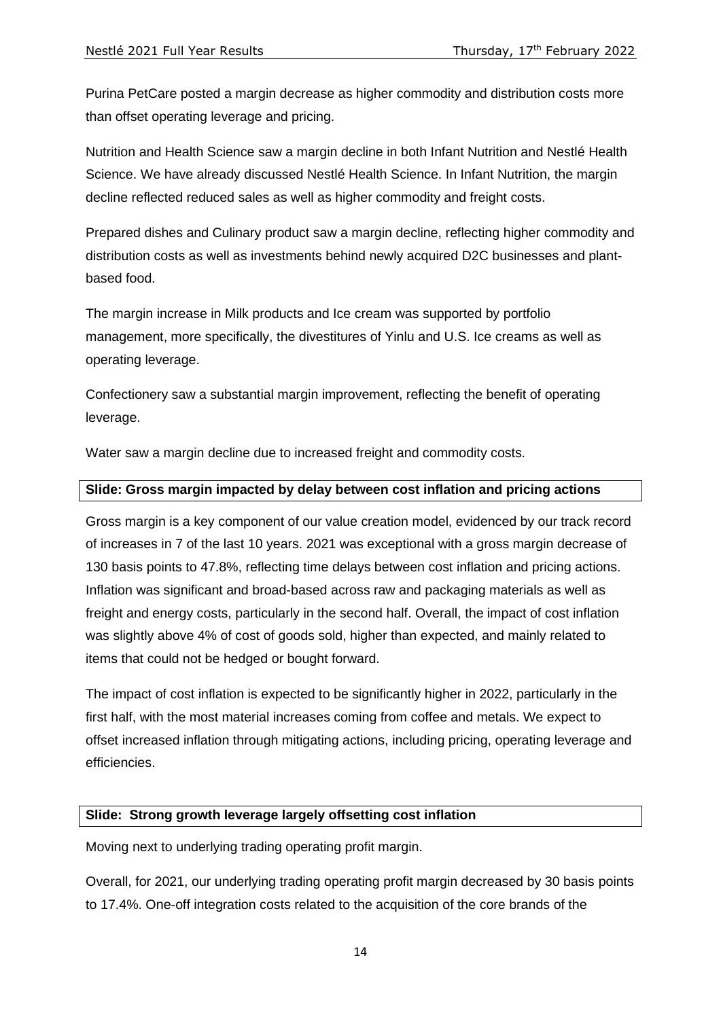Purina PetCare posted a margin decrease as higher commodity and distribution costs more than offset operating leverage and pricing.

Nutrition and Health Science saw a margin decline in both Infant Nutrition and Nestlé Health Science. We have already discussed Nestlé Health Science. In Infant Nutrition, the margin decline reflected reduced sales as well as higher commodity and freight costs.

Prepared dishes and Culinary product saw a margin decline, reflecting higher commodity and distribution costs as well as investments behind newly acquired D2C businesses and plantbased food.

The margin increase in Milk products and Ice cream was supported by portfolio management, more specifically, the divestitures of Yinlu and U.S. Ice creams as well as operating leverage.

Confectionery saw a substantial margin improvement, reflecting the benefit of operating leverage.

Water saw a margin decline due to increased freight and commodity costs.

### **Slide: Gross margin impacted by delay between cost inflation and pricing actions**

Gross margin is a key component of our value creation model, evidenced by our track record of increases in 7 of the last 10 years. 2021 was exceptional with a gross margin decrease of 130 basis points to 47.8%, reflecting time delays between cost inflation and pricing actions. Inflation was significant and broad-based across raw and packaging materials as well as freight and energy costs, particularly in the second half. Overall, the impact of cost inflation was slightly above 4% of cost of goods sold, higher than expected, and mainly related to items that could not be hedged or bought forward.

The impact of cost inflation is expected to be significantly higher in 2022, particularly in the first half, with the most material increases coming from coffee and metals. We expect to offset increased inflation through mitigating actions, including pricing, operating leverage and efficiencies.

### **Slide: Strong growth leverage largely offsetting cost inflation**

Moving next to underlying trading operating profit margin.

Overall, for 2021, our underlying trading operating profit margin decreased by 30 basis points to 17.4%. One-off integration costs related to the acquisition of the core brands of the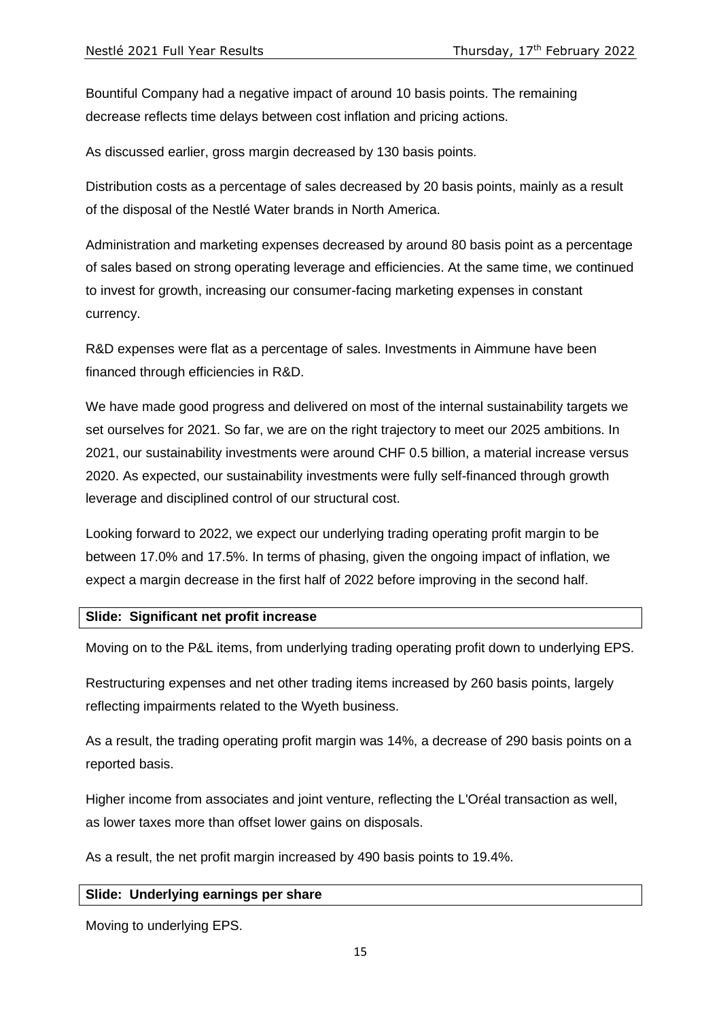Bountiful Company had a negative impact of around 10 basis points. The remaining decrease reflects time delays between cost inflation and pricing actions.

As discussed earlier, gross margin decreased by 130 basis points.

Distribution costs as a percentage of sales decreased by 20 basis points, mainly as a result of the disposal of the Nestlé Water brands in North America.

Administration and marketing expenses decreased by around 80 basis point as a percentage of sales based on strong operating leverage and efficiencies. At the same time, we continued to invest for growth, increasing our consumer-facing marketing expenses in constant currency.

R&D expenses were flat as a percentage of sales. Investments in Aimmune have been financed through efficiencies in R&D.

We have made good progress and delivered on most of the internal sustainability targets we set ourselves for 2021. So far, we are on the right trajectory to meet our 2025 ambitions. In 2021, our sustainability investments were around CHF 0.5 billion, a material increase versus 2020. As expected, our sustainability investments were fully self-financed through growth leverage and disciplined control of our structural cost.

Looking forward to 2022, we expect our underlying trading operating profit margin to be between 17.0% and 17.5%. In terms of phasing, given the ongoing impact of inflation, we expect a margin decrease in the first half of 2022 before improving in the second half.

### **Slide: Significant net profit increase**

Moving on to the P&L items, from underlying trading operating profit down to underlying EPS.

Restructuring expenses and net other trading items increased by 260 basis points, largely reflecting impairments related to the Wyeth business.

As a result, the trading operating profit margin was 14%, a decrease of 290 basis points on a reported basis.

Higher income from associates and joint venture, reflecting the L'Oréal transaction as well, as lower taxes more than offset lower gains on disposals.

As a result, the net profit margin increased by 490 basis points to 19.4%.

#### **Slide: Underlying earnings per share**

Moving to underlying EPS.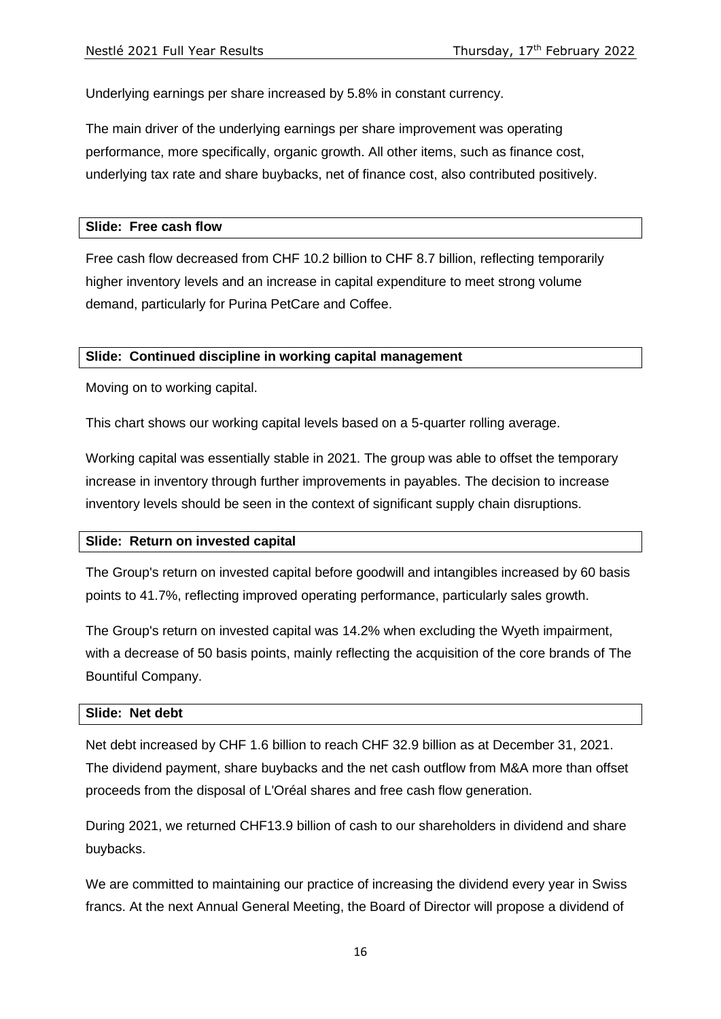Underlying earnings per share increased by 5.8% in constant currency.

The main driver of the underlying earnings per share improvement was operating performance, more specifically, organic growth. All other items, such as finance cost, underlying tax rate and share buybacks, net of finance cost, also contributed positively.

#### **Slide: Free cash flow**

Free cash flow decreased from CHF 10.2 billion to CHF 8.7 billion, reflecting temporarily higher inventory levels and an increase in capital expenditure to meet strong volume demand, particularly for Purina PetCare and Coffee.

### **Slide: Continued discipline in working capital management**

Moving on to working capital.

This chart shows our working capital levels based on a 5-quarter rolling average.

Working capital was essentially stable in 2021. The group was able to offset the temporary increase in inventory through further improvements in payables. The decision to increase inventory levels should be seen in the context of significant supply chain disruptions.

#### **Slide: Return on invested capital**

The Group's return on invested capital before goodwill and intangibles increased by 60 basis points to 41.7%, reflecting improved operating performance, particularly sales growth.

The Group's return on invested capital was 14.2% when excluding the Wyeth impairment, with a decrease of 50 basis points, mainly reflecting the acquisition of the core brands of The Bountiful Company.

#### **Slide: Net debt**

Net debt increased by CHF 1.6 billion to reach CHF 32.9 billion as at December 31, 2021. The dividend payment, share buybacks and the net cash outflow from M&A more than offset proceeds from the disposal of L'Oréal shares and free cash flow generation.

During 2021, we returned CHF13.9 billion of cash to our shareholders in dividend and share buybacks.

We are committed to maintaining our practice of increasing the dividend every year in Swiss francs. At the next Annual General Meeting, the Board of Director will propose a dividend of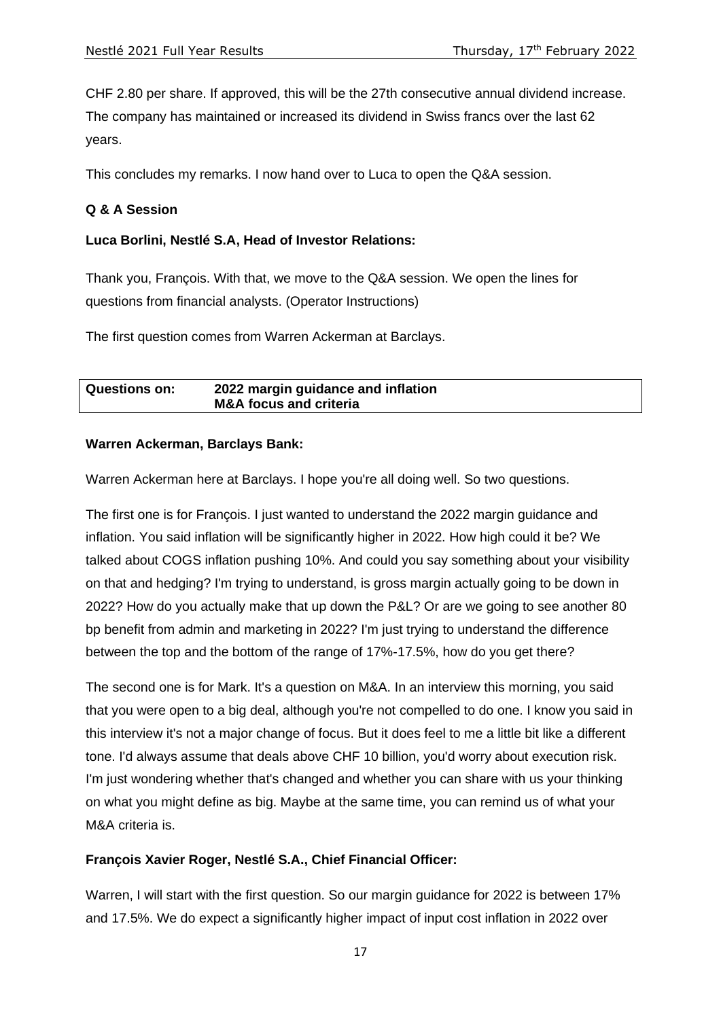CHF 2.80 per share. If approved, this will be the 27th consecutive annual dividend increase.

The company has maintained or increased its dividend in Swiss francs over the last 62 years.

This concludes my remarks. I now hand over to Luca to open the Q&A session.

## **Q & A Session**

## **Luca Borlini, Nestlé S.A, Head of Investor Relations:**

Thank you, François. With that, we move to the Q&A session. We open the lines for questions from financial analysts. (Operator Instructions)

The first question comes from Warren Ackerman at Barclays.

| <b>Questions on:</b> | 2022 margin guidance and inflation |  |
|----------------------|------------------------------------|--|
|                      | <b>M&amp;A focus and criteria</b>  |  |

### **Warren Ackerman, Barclays Bank:**

Warren Ackerman here at Barclays. I hope you're all doing well. So two questions.

The first one is for François. I just wanted to understand the 2022 margin guidance and inflation. You said inflation will be significantly higher in 2022. How high could it be? We talked about COGS inflation pushing 10%. And could you say something about your visibility on that and hedging? I'm trying to understand, is gross margin actually going to be down in 2022? How do you actually make that up down the P&L? Or are we going to see another 80 bp benefit from admin and marketing in 2022? I'm just trying to understand the difference between the top and the bottom of the range of 17%-17.5%, how do you get there?

The second one is for Mark. It's a question on M&A. In an interview this morning, you said that you were open to a big deal, although you're not compelled to do one. I know you said in this interview it's not a major change of focus. But it does feel to me a little bit like a different tone. I'd always assume that deals above CHF 10 billion, you'd worry about execution risk. I'm just wondering whether that's changed and whether you can share with us your thinking on what you might define as big. Maybe at the same time, you can remind us of what your M&A criteria is.

# **François Xavier Roger, Nestlé S.A., Chief Financial Officer:**

Warren, I will start with the first question. So our margin guidance for 2022 is between 17% and 17.5%. We do expect a significantly higher impact of input cost inflation in 2022 over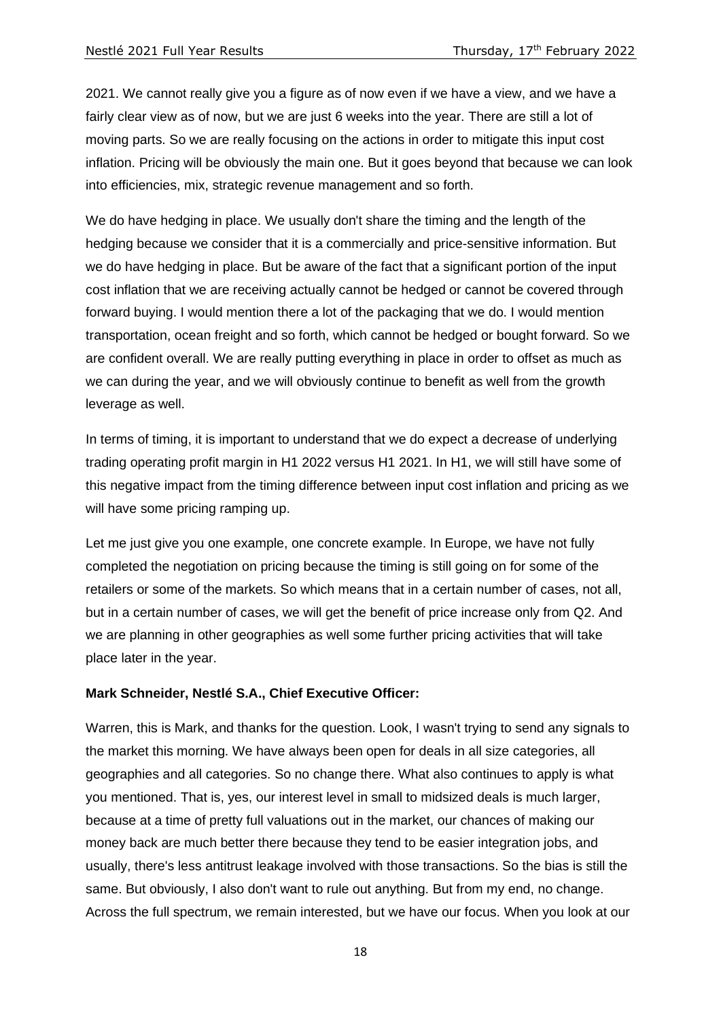2021. We cannot really give you a figure as of now even if we have a view, and we have a fairly clear view as of now, but we are just 6 weeks into the year. There are still a lot of moving parts. So we are really focusing on the actions in order to mitigate this input cost inflation. Pricing will be obviously the main one. But it goes beyond that because we can look into efficiencies, mix, strategic revenue management and so forth.

We do have hedging in place. We usually don't share the timing and the length of the hedging because we consider that it is a commercially and price-sensitive information. But we do have hedging in place. But be aware of the fact that a significant portion of the input cost inflation that we are receiving actually cannot be hedged or cannot be covered through forward buying. I would mention there a lot of the packaging that we do. I would mention transportation, ocean freight and so forth, which cannot be hedged or bought forward. So we are confident overall. We are really putting everything in place in order to offset as much as we can during the year, and we will obviously continue to benefit as well from the growth leverage as well.

In terms of timing, it is important to understand that we do expect a decrease of underlying trading operating profit margin in H1 2022 versus H1 2021. In H1, we will still have some of this negative impact from the timing difference between input cost inflation and pricing as we will have some pricing ramping up.

Let me just give you one example, one concrete example. In Europe, we have not fully completed the negotiation on pricing because the timing is still going on for some of the retailers or some of the markets. So which means that in a certain number of cases, not all, but in a certain number of cases, we will get the benefit of price increase only from Q2. And we are planning in other geographies as well some further pricing activities that will take place later in the year.

### **Mark Schneider, Nestlé S.A., Chief Executive Officer:**

Warren, this is Mark, and thanks for the question. Look, I wasn't trying to send any signals to the market this morning. We have always been open for deals in all size categories, all geographies and all categories. So no change there. What also continues to apply is what you mentioned. That is, yes, our interest level in small to midsized deals is much larger, because at a time of pretty full valuations out in the market, our chances of making our money back are much better there because they tend to be easier integration jobs, and usually, there's less antitrust leakage involved with those transactions. So the bias is still the same. But obviously, I also don't want to rule out anything. But from my end, no change. Across the full spectrum, we remain interested, but we have our focus. When you look at our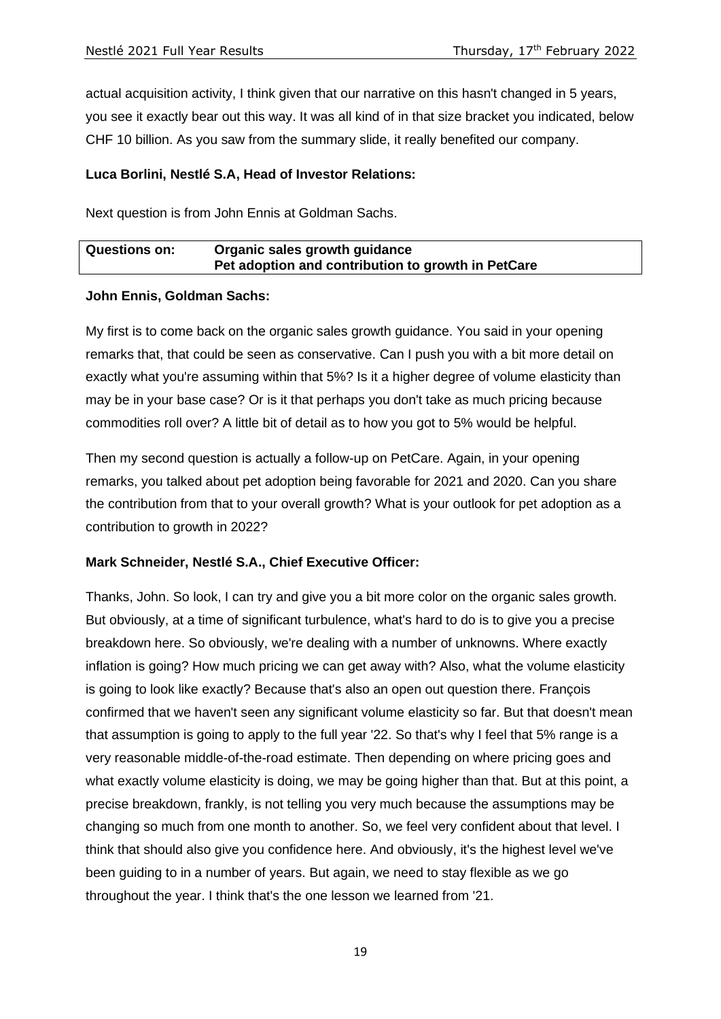actual acquisition activity, I think given that our narrative on this hasn't changed in 5 years, you see it exactly bear out this way. It was all kind of in that size bracket you indicated, below CHF 10 billion. As you saw from the summary slide, it really benefited our company.

### **Luca Borlini, Nestlé S.A, Head of Investor Relations:**

Next question is from John Ennis at Goldman Sachs.

| <b>Questions on:</b> | Organic sales growth guidance                      |
|----------------------|----------------------------------------------------|
|                      | Pet adoption and contribution to growth in PetCare |

### **John Ennis, Goldman Sachs:**

My first is to come back on the organic sales growth guidance. You said in your opening remarks that, that could be seen as conservative. Can I push you with a bit more detail on exactly what you're assuming within that 5%? Is it a higher degree of volume elasticity than may be in your base case? Or is it that perhaps you don't take as much pricing because commodities roll over? A little bit of detail as to how you got to 5% would be helpful.

Then my second question is actually a follow-up on PetCare. Again, in your opening remarks, you talked about pet adoption being favorable for 2021 and 2020. Can you share the contribution from that to your overall growth? What is your outlook for pet adoption as a contribution to growth in 2022?

### **Mark Schneider, Nestlé S.A., Chief Executive Officer:**

Thanks, John. So look, I can try and give you a bit more color on the organic sales growth. But obviously, at a time of significant turbulence, what's hard to do is to give you a precise breakdown here. So obviously, we're dealing with a number of unknowns. Where exactly inflation is going? How much pricing we can get away with? Also, what the volume elasticity is going to look like exactly? Because that's also an open out question there. François confirmed that we haven't seen any significant volume elasticity so far. But that doesn't mean that assumption is going to apply to the full year '22. So that's why I feel that 5% range is a very reasonable middle-of-the-road estimate. Then depending on where pricing goes and what exactly volume elasticity is doing, we may be going higher than that. But at this point, a precise breakdown, frankly, is not telling you very much because the assumptions may be changing so much from one month to another. So, we feel very confident about that level. I think that should also give you confidence here. And obviously, it's the highest level we've been guiding to in a number of years. But again, we need to stay flexible as we go throughout the year. I think that's the one lesson we learned from '21.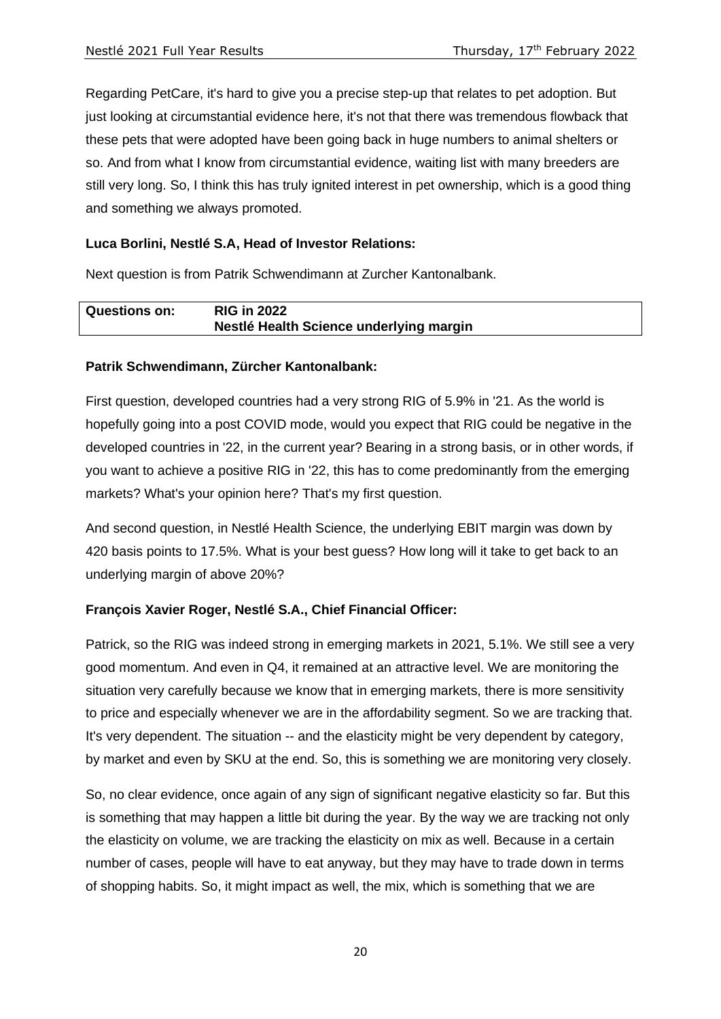Regarding PetCare, it's hard to give you a precise step-up that relates to pet adoption. But just looking at circumstantial evidence here, it's not that there was tremendous flowback that these pets that were adopted have been going back in huge numbers to animal shelters or so. And from what I know from circumstantial evidence, waiting list with many breeders are still very long. So, I think this has truly ignited interest in pet ownership, which is a good thing and something we always promoted.

# **Luca Borlini, Nestlé S.A, Head of Investor Relations:**

Next question is from Patrik Schwendimann at Zurcher Kantonalbank.

| <b>Questions on:</b> | <b>RIG in 2022</b>                      |
|----------------------|-----------------------------------------|
|                      | Nestlé Health Science underlying margin |

# **Patrik Schwendimann, Zürcher Kantonalbank:**

First question, developed countries had a very strong RIG of 5.9% in '21. As the world is hopefully going into a post COVID mode, would you expect that RIG could be negative in the developed countries in '22, in the current year? Bearing in a strong basis, or in other words, if you want to achieve a positive RIG in '22, this has to come predominantly from the emerging markets? What's your opinion here? That's my first question.

And second question, in Nestlé Health Science, the underlying EBIT margin was down by 420 basis points to 17.5%. What is your best guess? How long will it take to get back to an underlying margin of above 20%?

# **François Xavier Roger, Nestlé S.A., Chief Financial Officer:**

Patrick, so the RIG was indeed strong in emerging markets in 2021, 5.1%. We still see a very good momentum. And even in Q4, it remained at an attractive level. We are monitoring the situation very carefully because we know that in emerging markets, there is more sensitivity to price and especially whenever we are in the affordability segment. So we are tracking that. It's very dependent. The situation -- and the elasticity might be very dependent by category, by market and even by SKU at the end. So, this is something we are monitoring very closely.

So, no clear evidence, once again of any sign of significant negative elasticity so far. But this is something that may happen a little bit during the year. By the way we are tracking not only the elasticity on volume, we are tracking the elasticity on mix as well. Because in a certain number of cases, people will have to eat anyway, but they may have to trade down in terms of shopping habits. So, it might impact as well, the mix, which is something that we are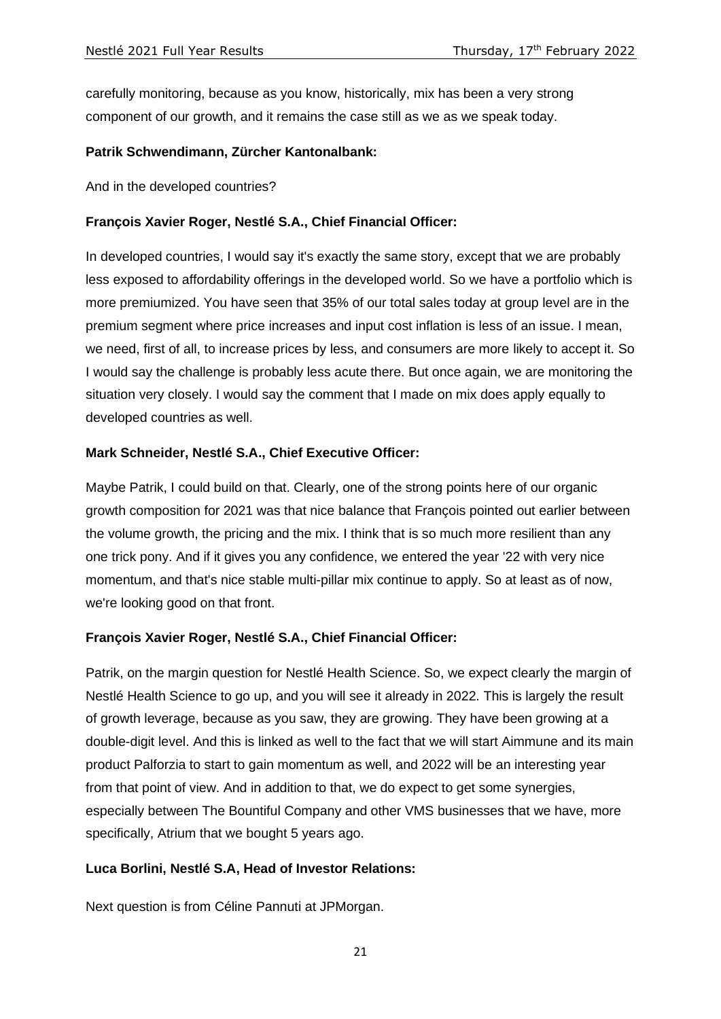carefully monitoring, because as you know, historically, mix has been a very strong component of our growth, and it remains the case still as we as we speak today.

### **Patrik Schwendimann, Zürcher Kantonalbank:**

And in the developed countries?

### **François Xavier Roger, Nestlé S.A., Chief Financial Officer:**

In developed countries, I would say it's exactly the same story, except that we are probably less exposed to affordability offerings in the developed world. So we have a portfolio which is more premiumized. You have seen that 35% of our total sales today at group level are in the premium segment where price increases and input cost inflation is less of an issue. I mean, we need, first of all, to increase prices by less, and consumers are more likely to accept it. So I would say the challenge is probably less acute there. But once again, we are monitoring the situation very closely. I would say the comment that I made on mix does apply equally to developed countries as well.

### **Mark Schneider, Nestlé S.A., Chief Executive Officer:**

Maybe Patrik, I could build on that. Clearly, one of the strong points here of our organic growth composition for 2021 was that nice balance that François pointed out earlier between the volume growth, the pricing and the mix. I think that is so much more resilient than any one trick pony. And if it gives you any confidence, we entered the year '22 with very nice momentum, and that's nice stable multi-pillar mix continue to apply. So at least as of now, we're looking good on that front.

### **François Xavier Roger, Nestlé S.A., Chief Financial Officer:**

Patrik, on the margin question for Nestlé Health Science. So, we expect clearly the margin of Nestlé Health Science to go up, and you will see it already in 2022. This is largely the result of growth leverage, because as you saw, they are growing. They have been growing at a double-digit level. And this is linked as well to the fact that we will start Aimmune and its main product Palforzia to start to gain momentum as well, and 2022 will be an interesting year from that point of view. And in addition to that, we do expect to get some synergies, especially between The Bountiful Company and other VMS businesses that we have, more specifically, Atrium that we bought 5 years ago.

### **Luca Borlini, Nestlé S.A, Head of Investor Relations:**

Next question is from Céline Pannuti at JPMorgan.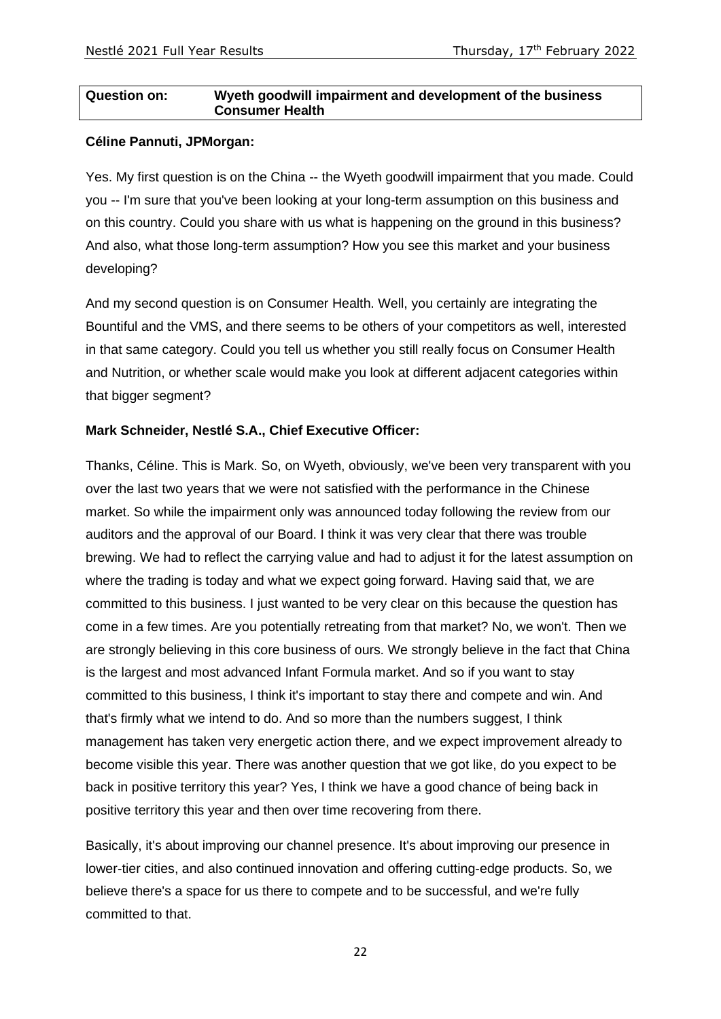### **Question on: Wyeth goodwill impairment and development of the business Consumer Health**

### **Céline Pannuti, JPMorgan:**

Yes. My first question is on the China -- the Wyeth goodwill impairment that you made. Could you -- I'm sure that you've been looking at your long-term assumption on this business and on this country. Could you share with us what is happening on the ground in this business? And also, what those long-term assumption? How you see this market and your business developing?

And my second question is on Consumer Health. Well, you certainly are integrating the Bountiful and the VMS, and there seems to be others of your competitors as well, interested in that same category. Could you tell us whether you still really focus on Consumer Health and Nutrition, or whether scale would make you look at different adjacent categories within that bigger segment?

### **Mark Schneider, Nestlé S.A., Chief Executive Officer:**

Thanks, Céline. This is Mark. So, on Wyeth, obviously, we've been very transparent with you over the last two years that we were not satisfied with the performance in the Chinese market. So while the impairment only was announced today following the review from our auditors and the approval of our Board. I think it was very clear that there was trouble brewing. We had to reflect the carrying value and had to adjust it for the latest assumption on where the trading is today and what we expect going forward. Having said that, we are committed to this business. I just wanted to be very clear on this because the question has come in a few times. Are you potentially retreating from that market? No, we won't. Then we are strongly believing in this core business of ours. We strongly believe in the fact that China is the largest and most advanced Infant Formula market. And so if you want to stay committed to this business, I think it's important to stay there and compete and win. And that's firmly what we intend to do. And so more than the numbers suggest, I think management has taken very energetic action there, and we expect improvement already to become visible this year. There was another question that we got like, do you expect to be back in positive territory this year? Yes, I think we have a good chance of being back in positive territory this year and then over time recovering from there.

Basically, it's about improving our channel presence. It's about improving our presence in lower-tier cities, and also continued innovation and offering cutting-edge products. So, we believe there's a space for us there to compete and to be successful, and we're fully committed to that.

22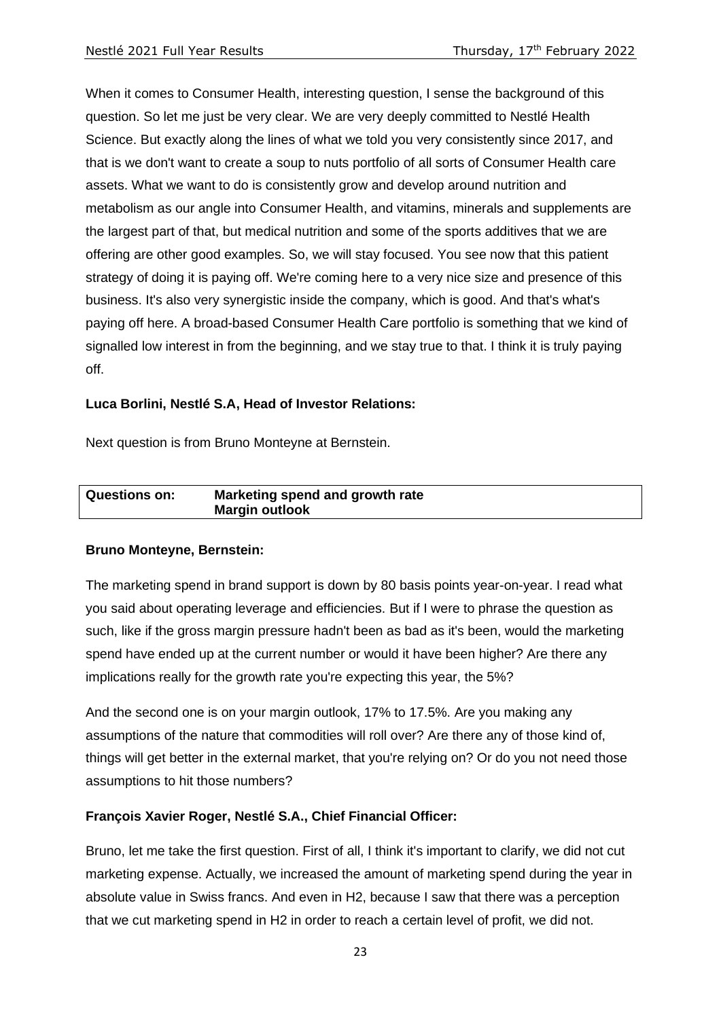When it comes to Consumer Health, interesting question, I sense the background of this question. So let me just be very clear. We are very deeply committed to Nestlé Health Science. But exactly along the lines of what we told you very consistently since 2017, and that is we don't want to create a soup to nuts portfolio of all sorts of Consumer Health care assets. What we want to do is consistently grow and develop around nutrition and metabolism as our angle into Consumer Health, and vitamins, minerals and supplements are the largest part of that, but medical nutrition and some of the sports additives that we are offering are other good examples. So, we will stay focused. You see now that this patient strategy of doing it is paying off. We're coming here to a very nice size and presence of this business. It's also very synergistic inside the company, which is good. And that's what's paying off here. A broad-based Consumer Health Care portfolio is something that we kind of signalled low interest in from the beginning, and we stay true to that. I think it is truly paying off.

### **Luca Borlini, Nestlé S.A, Head of Investor Relations:**

Next question is from Bruno Monteyne at Bernstein.

| <b>Questions on:</b> | Marketing spend and growth rate |
|----------------------|---------------------------------|
|                      | <b>Margin outlook</b>           |

### **Bruno Monteyne, Bernstein:**

The marketing spend in brand support is down by 80 basis points year-on-year. I read what you said about operating leverage and efficiencies. But if I were to phrase the question as such, like if the gross margin pressure hadn't been as bad as it's been, would the marketing spend have ended up at the current number or would it have been higher? Are there any implications really for the growth rate you're expecting this year, the 5%?

And the second one is on your margin outlook, 17% to 17.5%. Are you making any assumptions of the nature that commodities will roll over? Are there any of those kind of, things will get better in the external market, that you're relying on? Or do you not need those assumptions to hit those numbers?

# **François Xavier Roger, Nestlé S.A., Chief Financial Officer:**

Bruno, let me take the first question. First of all, I think it's important to clarify, we did not cut marketing expense. Actually, we increased the amount of marketing spend during the year in absolute value in Swiss francs. And even in H2, because I saw that there was a perception that we cut marketing spend in H2 in order to reach a certain level of profit, we did not.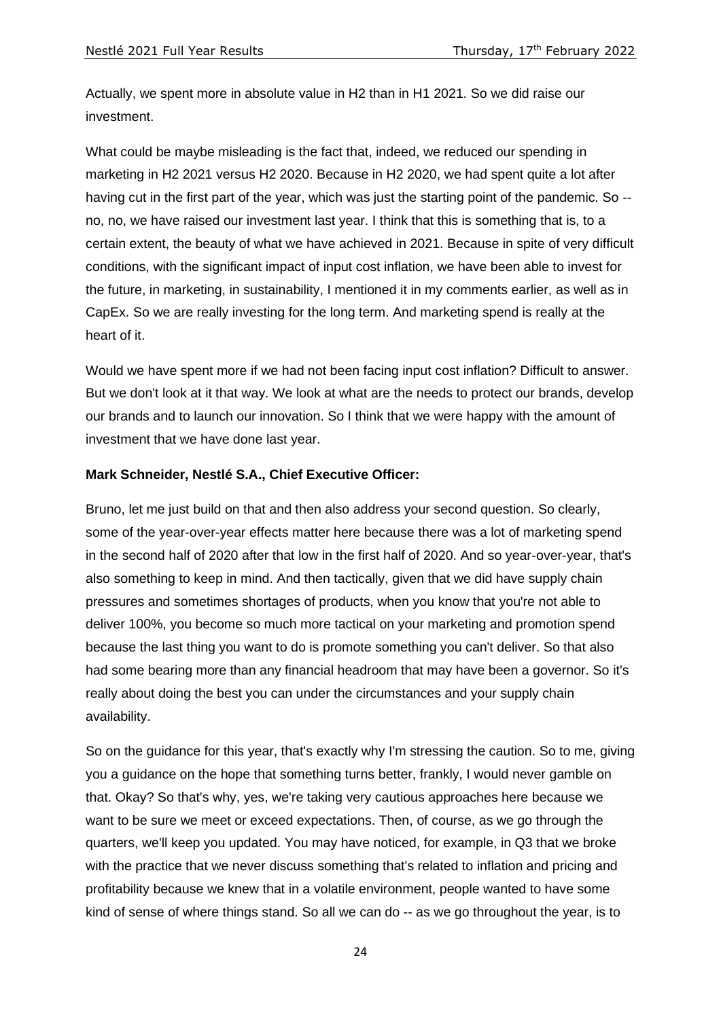Actually, we spent more in absolute value in H2 than in H1 2021. So we did raise our investment.

What could be maybe misleading is the fact that, indeed, we reduced our spending in marketing in H2 2021 versus H2 2020. Because in H2 2020, we had spent quite a lot after having cut in the first part of the year, which was just the starting point of the pandemic. So - no, no, we have raised our investment last year. I think that this is something that is, to a certain extent, the beauty of what we have achieved in 2021. Because in spite of very difficult conditions, with the significant impact of input cost inflation, we have been able to invest for the future, in marketing, in sustainability, I mentioned it in my comments earlier, as well as in CapEx. So we are really investing for the long term. And marketing spend is really at the heart of it.

Would we have spent more if we had not been facing input cost inflation? Difficult to answer. But we don't look at it that way. We look at what are the needs to protect our brands, develop our brands and to launch our innovation. So I think that we were happy with the amount of investment that we have done last year.

### **Mark Schneider, Nestlé S.A., Chief Executive Officer:**

Bruno, let me just build on that and then also address your second question. So clearly, some of the year-over-year effects matter here because there was a lot of marketing spend in the second half of 2020 after that low in the first half of 2020. And so year-over-year, that's also something to keep in mind. And then tactically, given that we did have supply chain pressures and sometimes shortages of products, when you know that you're not able to deliver 100%, you become so much more tactical on your marketing and promotion spend because the last thing you want to do is promote something you can't deliver. So that also had some bearing more than any financial headroom that may have been a governor. So it's really about doing the best you can under the circumstances and your supply chain availability.

So on the guidance for this year, that's exactly why I'm stressing the caution. So to me, giving you a guidance on the hope that something turns better, frankly, I would never gamble on that. Okay? So that's why, yes, we're taking very cautious approaches here because we want to be sure we meet or exceed expectations. Then, of course, as we go through the quarters, we'll keep you updated. You may have noticed, for example, in Q3 that we broke with the practice that we never discuss something that's related to inflation and pricing and profitability because we knew that in a volatile environment, people wanted to have some kind of sense of where things stand. So all we can do -- as we go throughout the year, is to

24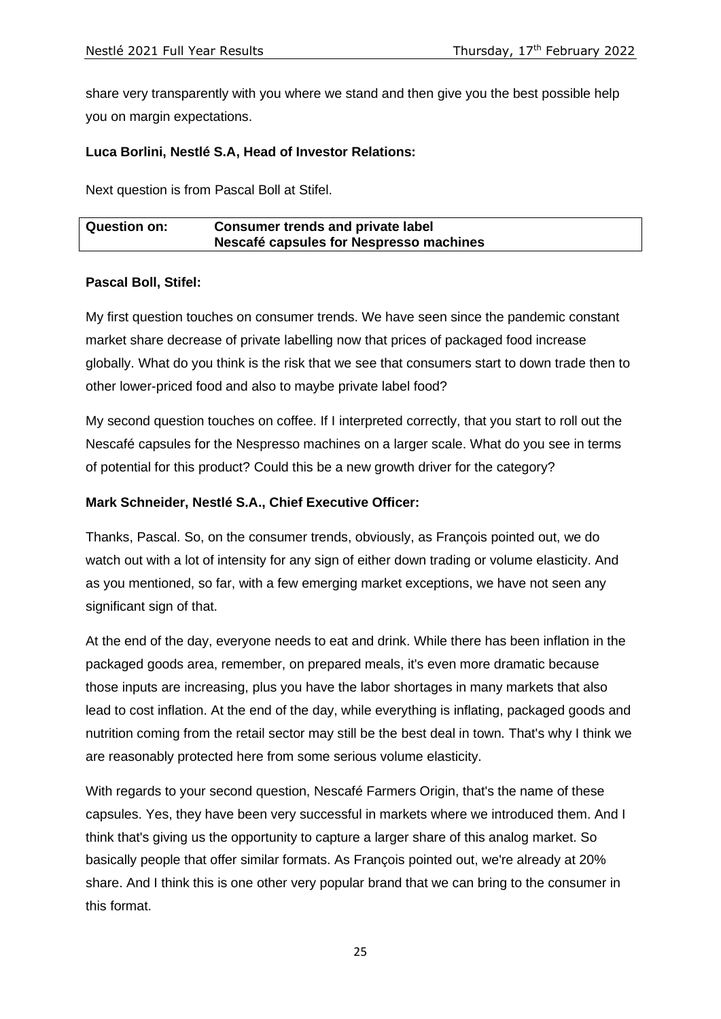share very transparently with you where we stand and then give you the best possible help you on margin expectations.

## **Luca Borlini, Nestlé S.A, Head of Investor Relations:**

Next question is from Pascal Boll at Stifel.

| <b>Question on:</b> | <b>Consumer trends and private label</b> |  |
|---------------------|------------------------------------------|--|
|                     | Nescafé capsules for Nespresso machines  |  |

### **Pascal Boll, Stifel:**

My first question touches on consumer trends. We have seen since the pandemic constant market share decrease of private labelling now that prices of packaged food increase globally. What do you think is the risk that we see that consumers start to down trade then to other lower-priced food and also to maybe private label food?

My second question touches on coffee. If I interpreted correctly, that you start to roll out the Nescafé capsules for the Nespresso machines on a larger scale. What do you see in terms of potential for this product? Could this be a new growth driver for the category?

### **Mark Schneider, Nestlé S.A., Chief Executive Officer:**

Thanks, Pascal. So, on the consumer trends, obviously, as François pointed out, we do watch out with a lot of intensity for any sign of either down trading or volume elasticity. And as you mentioned, so far, with a few emerging market exceptions, we have not seen any significant sign of that.

At the end of the day, everyone needs to eat and drink. While there has been inflation in the packaged goods area, remember, on prepared meals, it's even more dramatic because those inputs are increasing, plus you have the labor shortages in many markets that also lead to cost inflation. At the end of the day, while everything is inflating, packaged goods and nutrition coming from the retail sector may still be the best deal in town. That's why I think we are reasonably protected here from some serious volume elasticity.

With regards to your second question, Nescafé Farmers Origin, that's the name of these capsules. Yes, they have been very successful in markets where we introduced them. And I think that's giving us the opportunity to capture a larger share of this analog market. So basically people that offer similar formats. As François pointed out, we're already at 20% share. And I think this is one other very popular brand that we can bring to the consumer in this format.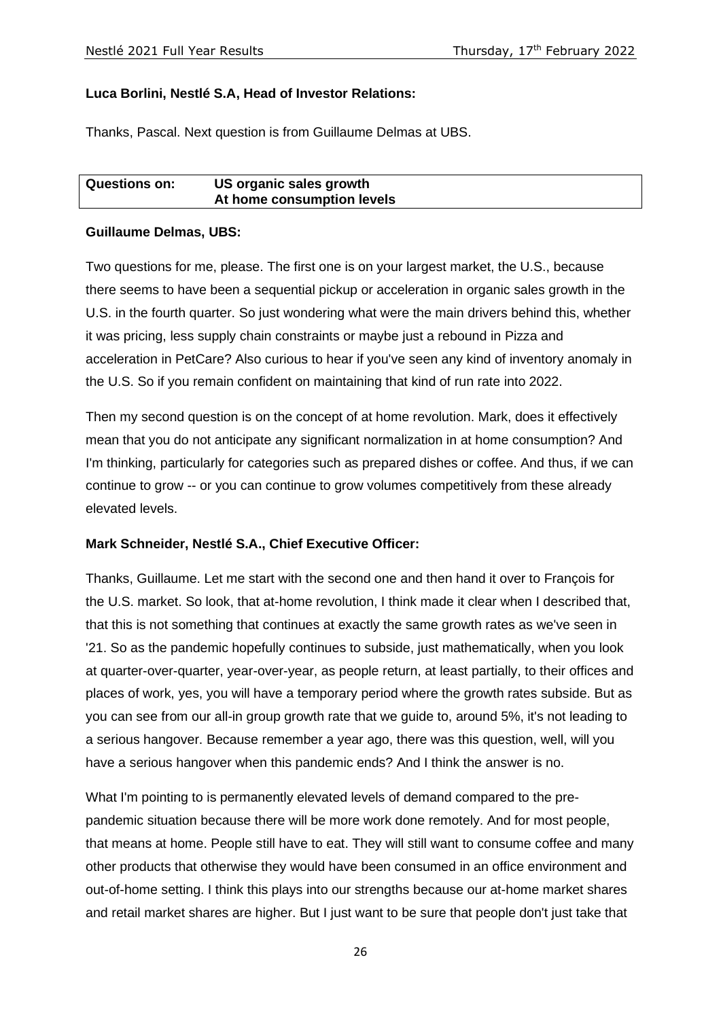## **Luca Borlini, Nestlé S.A, Head of Investor Relations:**

Thanks, Pascal. Next question is from Guillaume Delmas at UBS.

| <b>Questions on:</b> | US organic sales growth    |
|----------------------|----------------------------|
|                      | At home consumption levels |

### **Guillaume Delmas, UBS:**

Two questions for me, please. The first one is on your largest market, the U.S., because there seems to have been a sequential pickup or acceleration in organic sales growth in the U.S. in the fourth quarter. So just wondering what were the main drivers behind this, whether it was pricing, less supply chain constraints or maybe just a rebound in Pizza and acceleration in PetCare? Also curious to hear if you've seen any kind of inventory anomaly in the U.S. So if you remain confident on maintaining that kind of run rate into 2022.

Then my second question is on the concept of at home revolution. Mark, does it effectively mean that you do not anticipate any significant normalization in at home consumption? And I'm thinking, particularly for categories such as prepared dishes or coffee. And thus, if we can continue to grow -- or you can continue to grow volumes competitively from these already elevated levels.

### **Mark Schneider, Nestlé S.A., Chief Executive Officer:**

Thanks, Guillaume. Let me start with the second one and then hand it over to François for the U.S. market. So look, that at-home revolution, I think made it clear when I described that, that this is not something that continues at exactly the same growth rates as we've seen in '21. So as the pandemic hopefully continues to subside, just mathematically, when you look at quarter-over-quarter, year-over-year, as people return, at least partially, to their offices and places of work, yes, you will have a temporary period where the growth rates subside. But as you can see from our all-in group growth rate that we guide to, around 5%, it's not leading to a serious hangover. Because remember a year ago, there was this question, well, will you have a serious hangover when this pandemic ends? And I think the answer is no.

What I'm pointing to is permanently elevated levels of demand compared to the prepandemic situation because there will be more work done remotely. And for most people, that means at home. People still have to eat. They will still want to consume coffee and many other products that otherwise they would have been consumed in an office environment and out-of-home setting. I think this plays into our strengths because our at-home market shares and retail market shares are higher. But I just want to be sure that people don't just take that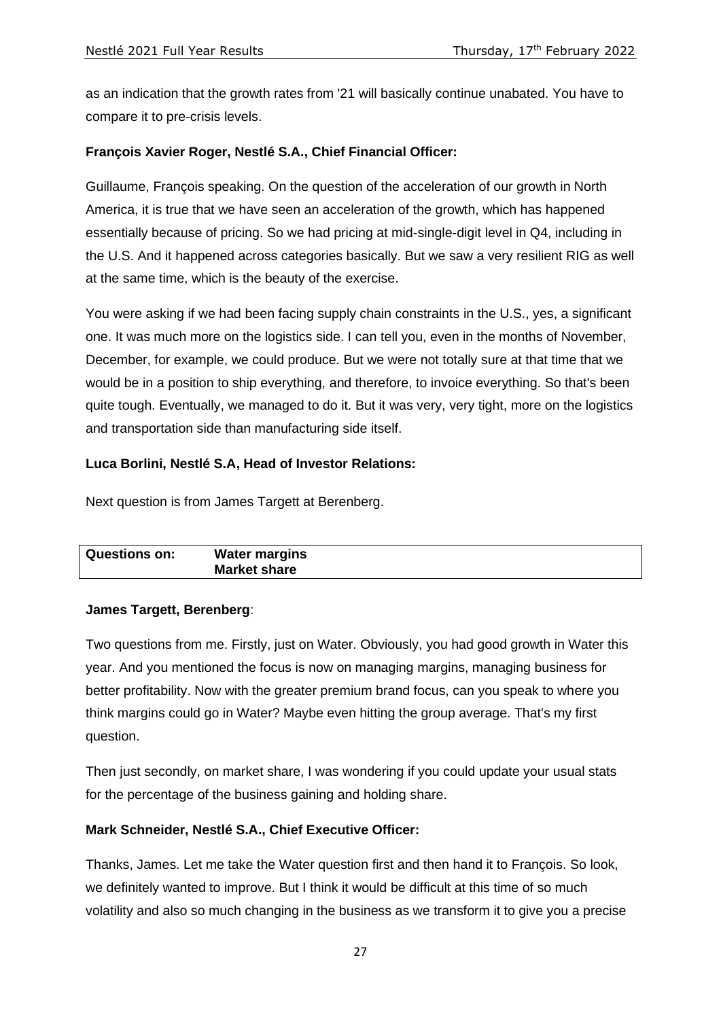as an indication that the growth rates from '21 will basically continue unabated. You have to compare it to pre-crisis levels.

# **François Xavier Roger, Nestlé S.A., Chief Financial Officer:**

Guillaume, François speaking. On the question of the acceleration of our growth in North America, it is true that we have seen an acceleration of the growth, which has happened essentially because of pricing. So we had pricing at mid-single-digit level in Q4, including in the U.S. And it happened across categories basically. But we saw a very resilient RIG as well at the same time, which is the beauty of the exercise.

You were asking if we had been facing supply chain constraints in the U.S., yes, a significant one. It was much more on the logistics side. I can tell you, even in the months of November, December, for example, we could produce. But we were not totally sure at that time that we would be in a position to ship everything, and therefore, to invoice everything. So that's been quite tough. Eventually, we managed to do it. But it was very, very tight, more on the logistics and transportation side than manufacturing side itself.

# **Luca Borlini, Nestlé S.A, Head of Investor Relations:**

Next question is from James Targett at Berenberg.

| <b>Water margins</b><br><b>Questions on:</b><br><b>Market share</b> |  |
|---------------------------------------------------------------------|--|
|---------------------------------------------------------------------|--|

# **James Targett, Berenberg**:

Two questions from me. Firstly, just on Water. Obviously, you had good growth in Water this year. And you mentioned the focus is now on managing margins, managing business for better profitability. Now with the greater premium brand focus, can you speak to where you think margins could go in Water? Maybe even hitting the group average. That's my first question.

Then just secondly, on market share, I was wondering if you could update your usual stats for the percentage of the business gaining and holding share.

# **Mark Schneider, Nestlé S.A., Chief Executive Officer:**

Thanks, James. Let me take the Water question first and then hand it to François. So look, we definitely wanted to improve. But I think it would be difficult at this time of so much volatility and also so much changing in the business as we transform it to give you a precise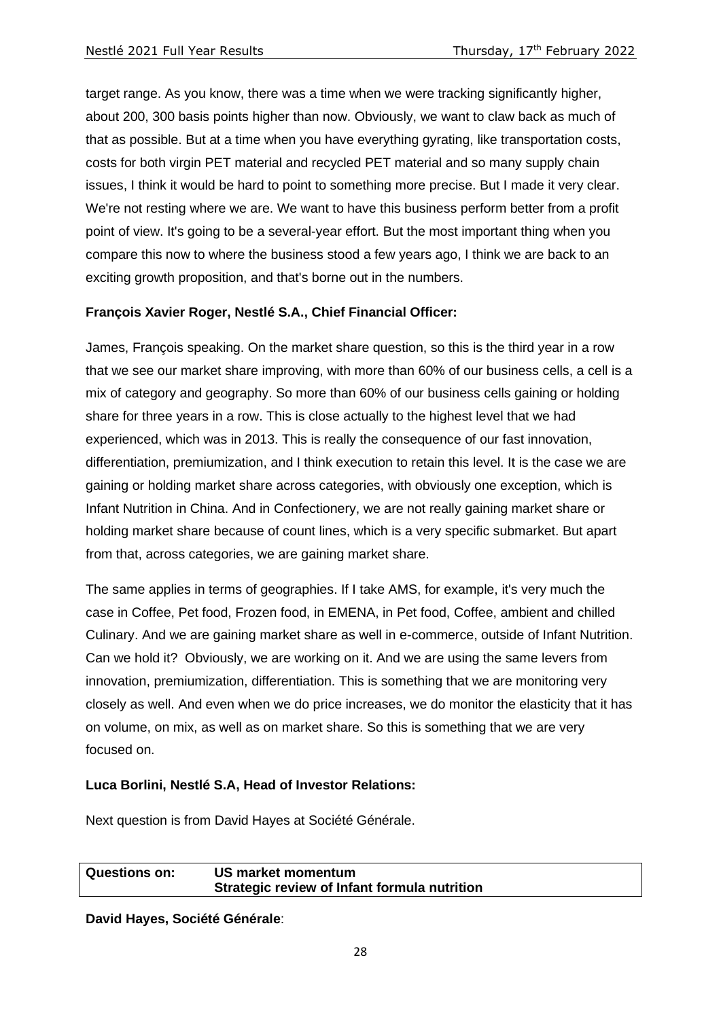target range. As you know, there was a time when we were tracking significantly higher, about 200, 300 basis points higher than now. Obviously, we want to claw back as much of that as possible. But at a time when you have everything gyrating, like transportation costs, costs for both virgin PET material and recycled PET material and so many supply chain issues, I think it would be hard to point to something more precise. But I made it very clear. We're not resting where we are. We want to have this business perform better from a profit point of view. It's going to be a several-year effort. But the most important thing when you compare this now to where the business stood a few years ago, I think we are back to an exciting growth proposition, and that's borne out in the numbers.

## **François Xavier Roger, Nestlé S.A., Chief Financial Officer:**

James, François speaking. On the market share question, so this is the third year in a row that we see our market share improving, with more than 60% of our business cells, a cell is a mix of category and geography. So more than 60% of our business cells gaining or holding share for three years in a row. This is close actually to the highest level that we had experienced, which was in 2013. This is really the consequence of our fast innovation, differentiation, premiumization, and I think execution to retain this level. It is the case we are gaining or holding market share across categories, with obviously one exception, which is Infant Nutrition in China. And in Confectionery, we are not really gaining market share or holding market share because of count lines, which is a very specific submarket. But apart from that, across categories, we are gaining market share.

The same applies in terms of geographies. If I take AMS, for example, it's very much the case in Coffee, Pet food, Frozen food, in EMENA, in Pet food, Coffee, ambient and chilled Culinary. And we are gaining market share as well in e-commerce, outside of Infant Nutrition. Can we hold it? Obviously, we are working on it. And we are using the same levers from innovation, premiumization, differentiation. This is something that we are monitoring very closely as well. And even when we do price increases, we do monitor the elasticity that it has on volume, on mix, as well as on market share. So this is something that we are very focused on.

### **Luca Borlini, Nestlé S.A, Head of Investor Relations:**

Next question is from David Hayes at Société Générale.

**Questions on: US market momentum Strategic review of Infant formula nutrition**

**David Hayes, Société Générale**: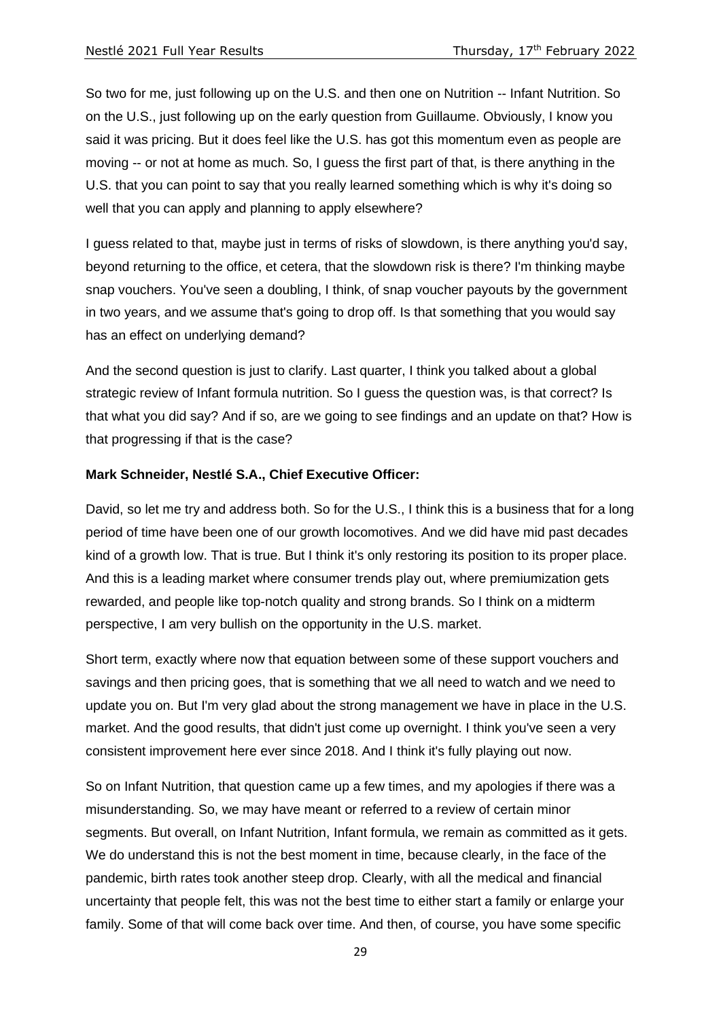So two for me, just following up on the U.S. and then one on Nutrition -- Infant Nutrition. So on the U.S., just following up on the early question from Guillaume. Obviously, I know you said it was pricing. But it does feel like the U.S. has got this momentum even as people are moving -- or not at home as much. So, I guess the first part of that, is there anything in the U.S. that you can point to say that you really learned something which is why it's doing so well that you can apply and planning to apply elsewhere?

I guess related to that, maybe just in terms of risks of slowdown, is there anything you'd say, beyond returning to the office, et cetera, that the slowdown risk is there? I'm thinking maybe snap vouchers. You've seen a doubling, I think, of snap voucher payouts by the government in two years, and we assume that's going to drop off. Is that something that you would say has an effect on underlying demand?

And the second question is just to clarify. Last quarter, I think you talked about a global strategic review of Infant formula nutrition. So I guess the question was, is that correct? Is that what you did say? And if so, are we going to see findings and an update on that? How is that progressing if that is the case?

## **Mark Schneider, Nestlé S.A., Chief Executive Officer:**

David, so let me try and address both. So for the U.S., I think this is a business that for a long period of time have been one of our growth locomotives. And we did have mid past decades kind of a growth low. That is true. But I think it's only restoring its position to its proper place. And this is a leading market where consumer trends play out, where premiumization gets rewarded, and people like top-notch quality and strong brands. So I think on a midterm perspective, I am very bullish on the opportunity in the U.S. market.

Short term, exactly where now that equation between some of these support vouchers and savings and then pricing goes, that is something that we all need to watch and we need to update you on. But I'm very glad about the strong management we have in place in the U.S. market. And the good results, that didn't just come up overnight. I think you've seen a very consistent improvement here ever since 2018. And I think it's fully playing out now.

So on Infant Nutrition, that question came up a few times, and my apologies if there was a misunderstanding. So, we may have meant or referred to a review of certain minor segments. But overall, on Infant Nutrition, Infant formula, we remain as committed as it gets. We do understand this is not the best moment in time, because clearly, in the face of the pandemic, birth rates took another steep drop. Clearly, with all the medical and financial uncertainty that people felt, this was not the best time to either start a family or enlarge your family. Some of that will come back over time. And then, of course, you have some specific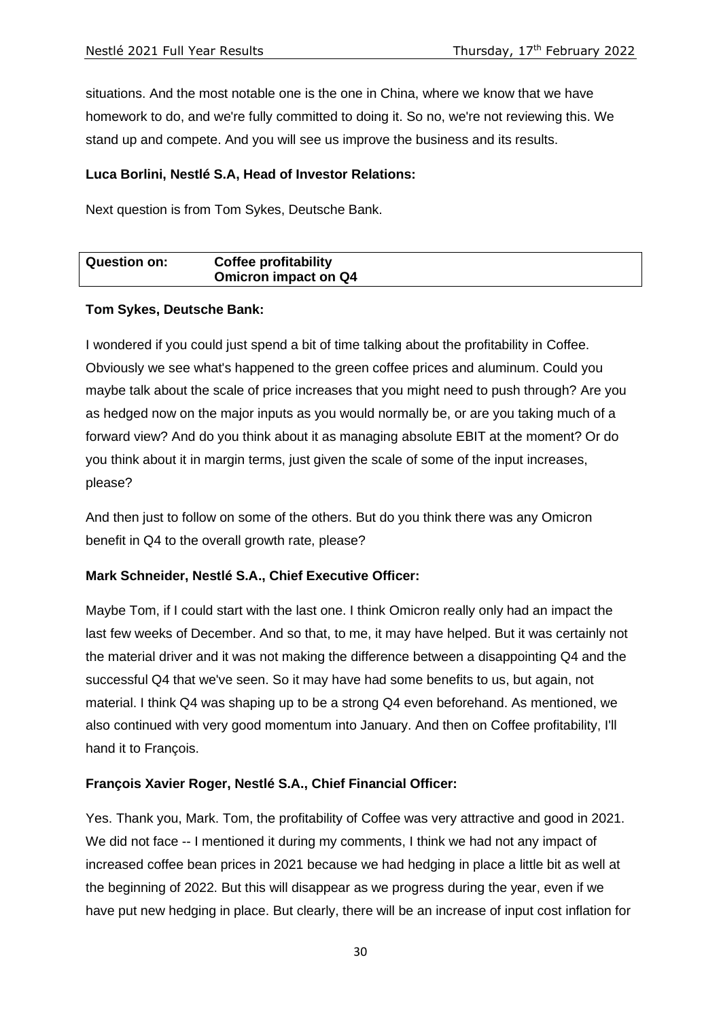situations. And the most notable one is the one in China, where we know that we have homework to do, and we're fully committed to doing it. So no, we're not reviewing this. We stand up and compete. And you will see us improve the business and its results.

## **Luca Borlini, Nestlé S.A, Head of Investor Relations:**

Next question is from Tom Sykes, Deutsche Bank.

| <b>Question on:</b> | <b>Coffee profitability</b> |  |
|---------------------|-----------------------------|--|
|                     | <b>Omicron impact on Q4</b> |  |

## **Tom Sykes, Deutsche Bank:**

I wondered if you could just spend a bit of time talking about the profitability in Coffee. Obviously we see what's happened to the green coffee prices and aluminum. Could you maybe talk about the scale of price increases that you might need to push through? Are you as hedged now on the major inputs as you would normally be, or are you taking much of a forward view? And do you think about it as managing absolute EBIT at the moment? Or do you think about it in margin terms, just given the scale of some of the input increases, please?

And then just to follow on some of the others. But do you think there was any Omicron benefit in Q4 to the overall growth rate, please?

# **Mark Schneider, Nestlé S.A., Chief Executive Officer:**

Maybe Tom, if I could start with the last one. I think Omicron really only had an impact the last few weeks of December. And so that, to me, it may have helped. But it was certainly not the material driver and it was not making the difference between a disappointing Q4 and the successful Q4 that we've seen. So it may have had some benefits to us, but again, not material. I think Q4 was shaping up to be a strong Q4 even beforehand. As mentioned, we also continued with very good momentum into January. And then on Coffee profitability, I'll hand it to François.

# **François Xavier Roger, Nestlé S.A., Chief Financial Officer:**

Yes. Thank you, Mark. Tom, the profitability of Coffee was very attractive and good in 2021. We did not face -- I mentioned it during my comments, I think we had not any impact of increased coffee bean prices in 2021 because we had hedging in place a little bit as well at the beginning of 2022. But this will disappear as we progress during the year, even if we have put new hedging in place. But clearly, there will be an increase of input cost inflation for